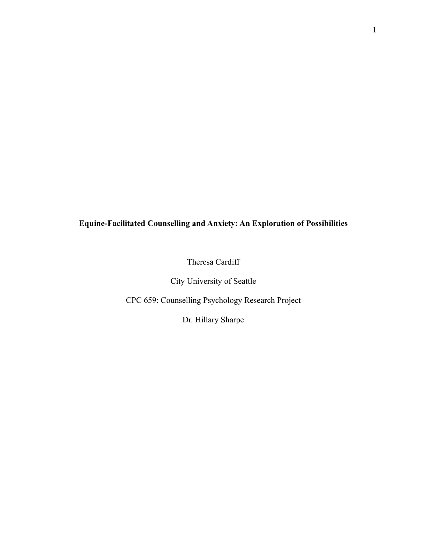# **Equine-Facilitated Counselling and Anxiety: An Exploration of Possibilities**

Theresa Cardiff

City University of Seattle

CPC 659: Counselling Psychology Research Project

Dr. Hillary Sharpe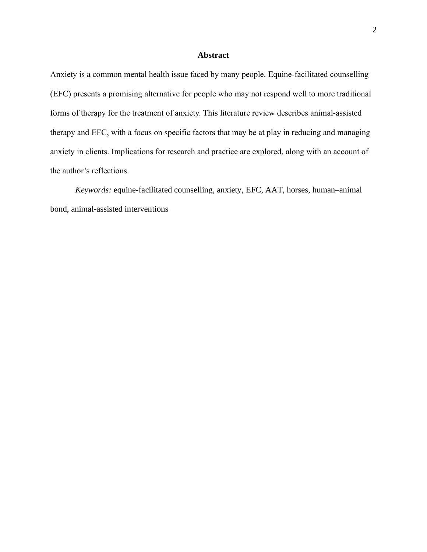# **Abstract**

Anxiety is a common mental health issue faced by many people. Equine-facilitated counselling (EFC) presents a promising alternative for people who may not respond well to more traditional forms of therapy for the treatment of anxiety. This literature review describes animal-assisted therapy and EFC, with a focus on specific factors that may be at play in reducing and managing anxiety in clients. Implications for research and practice are explored, along with an account of the author's reflections.

*Keywords:* equine-facilitated counselling, anxiety, EFC, AAT, horses, human–animal bond, animal-assisted interventions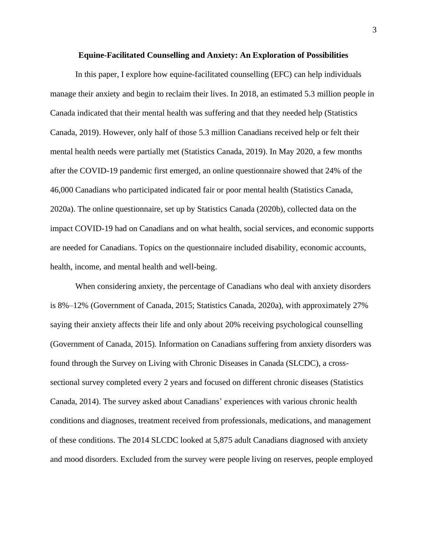# **Equine-Facilitated Counselling and Anxiety: An Exploration of Possibilities**

In this paper, I explore how equine-facilitated counselling (EFC) can help individuals manage their anxiety and begin to reclaim their lives. In 2018, an estimated 5.3 million people in Canada indicated that their mental health was suffering and that they needed help (Statistics Canada, 2019). However, only half of those 5.3 million Canadians received help or felt their mental health needs were partially met (Statistics Canada, 2019). In May 2020, a few months after the COVID-19 pandemic first emerged, an online questionnaire showed that 24% of the 46,000 Canadians who participated indicated fair or poor mental health (Statistics Canada, 2020a). The online questionnaire, set up by Statistics Canada (2020b), collected data on the impact COVID-19 had on Canadians and on what health, social services, and economic supports are needed for Canadians. Topics on the questionnaire included disability, economic accounts, health, income, and mental health and well-being.

When considering anxiety, the percentage of Canadians who deal with anxiety disorders is 8%–12% (Government of Canada, 2015; Statistics Canada, 2020a), with approximately 27% saying their anxiety affects their life and only about 20% receiving psychological counselling (Government of Canada, 2015). Information on Canadians suffering from anxiety disorders was found through the Survey on Living with Chronic Diseases in Canada (SLCDC), a crosssectional survey completed every 2 years and focused on different chronic diseases (Statistics Canada, 2014). The survey asked about Canadians' experiences with various chronic health conditions and diagnoses, treatment received from professionals, medications, and management of these conditions. The 2014 SLCDC looked at 5,875 adult Canadians diagnosed with anxiety and mood disorders. Excluded from the survey were people living on reserves, people employed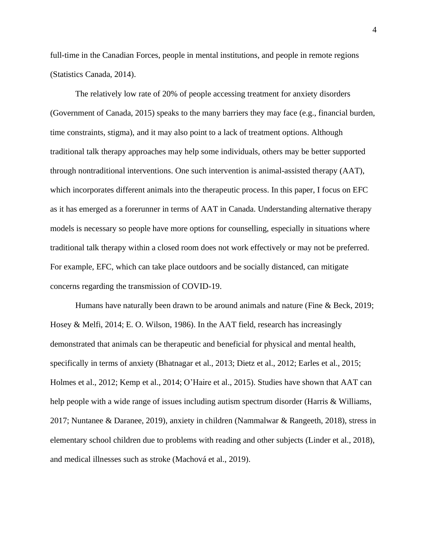full-time in the Canadian Forces, people in mental institutions, and people in remote regions (Statistics Canada, 2014).

The relatively low rate of 20% of people accessing treatment for anxiety disorders (Government of Canada, 2015) speaks to the many barriers they may face (e.g., financial burden, time constraints, stigma), and it may also point to a lack of treatment options. Although traditional talk therapy approaches may help some individuals, others may be better supported through nontraditional interventions. One such intervention is animal-assisted therapy (AAT), which incorporates different animals into the therapeutic process. In this paper, I focus on EFC as it has emerged as a forerunner in terms of AAT in Canada. Understanding alternative therapy models is necessary so people have more options for counselling, especially in situations where traditional talk therapy within a closed room does not work effectively or may not be preferred. For example, EFC, which can take place outdoors and be socially distanced, can mitigate concerns regarding the transmission of COVID-19.

Humans have naturally been drawn to be around animals and nature (Fine & Beck, 2019; Hosey & Melfi, 2014; E. O. Wilson, 1986). In the AAT field, research has increasingly demonstrated that animals can be therapeutic and beneficial for physical and mental health, specifically in terms of anxiety (Bhatnagar et al., 2013; Dietz et al., 2012; Earles et al., 2015; Holmes et al., 2012; Kemp et al., 2014; O'Haire et al., 2015). Studies have shown that AAT can help people with a wide range of issues including autism spectrum disorder (Harris & Williams, 2017; Nuntanee & Daranee, 2019), anxiety in children (Nammalwar & Rangeeth, 2018), stress in elementary school children due to problems with reading and other subjects (Linder et al., 2018), and medical illnesses such as stroke (Machová et al., 2019).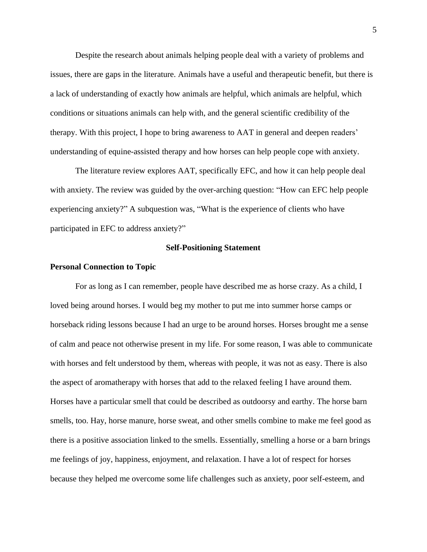Despite the research about animals helping people deal with a variety of problems and issues, there are gaps in the literature. Animals have a useful and therapeutic benefit, but there is a lack of understanding of exactly how animals are helpful, which animals are helpful, which conditions or situations animals can help with, and the general scientific credibility of the therapy. With this project, I hope to bring awareness to AAT in general and deepen readers' understanding of equine-assisted therapy and how horses can help people cope with anxiety.

The literature review explores AAT, specifically EFC, and how it can help people deal with anxiety. The review was guided by the over-arching question: "How can EFC help people experiencing anxiety?" A subquestion was, "What is the experience of clients who have participated in EFC to address anxiety?"

#### **Self-Positioning Statement**

#### **Personal Connection to Topic**

For as long as I can remember, people have described me as horse crazy. As a child, I loved being around horses. I would beg my mother to put me into summer horse camps or horseback riding lessons because I had an urge to be around horses. Horses brought me a sense of calm and peace not otherwise present in my life. For some reason, I was able to communicate with horses and felt understood by them, whereas with people, it was not as easy. There is also the aspect of aromatherapy with horses that add to the relaxed feeling I have around them. Horses have a particular smell that could be described as outdoorsy and earthy. The horse barn smells, too. Hay, horse manure, horse sweat, and other smells combine to make me feel good as there is a positive association linked to the smells. Essentially, smelling a horse or a barn brings me feelings of joy, happiness, enjoyment, and relaxation. I have a lot of respect for horses because they helped me overcome some life challenges such as anxiety, poor self-esteem, and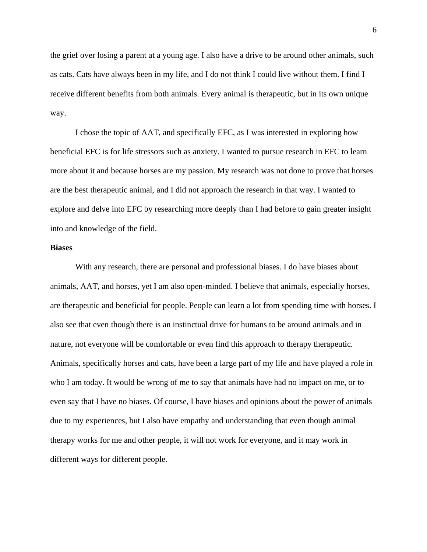the grief over losing a parent at a young age. I also have a drive to be around other animals, such as cats. Cats have always been in my life, and I do not think I could live without them. I find I receive different benefits from both animals. Every animal is therapeutic, but in its own unique way.

I chose the topic of AAT, and specifically EFC, as I was interested in exploring how beneficial EFC is for life stressors such as anxiety. I wanted to pursue research in EFC to learn more about it and because horses are my passion. My research was not done to prove that horses are the best therapeutic animal, and I did not approach the research in that way. I wanted to explore and delve into EFC by researching more deeply than I had before to gain greater insight into and knowledge of the field.

## **Biases**

With any research, there are personal and professional biases. I do have biases about animals, AAT, and horses, yet I am also open-minded. I believe that animals, especially horses, are therapeutic and beneficial for people. People can learn a lot from spending time with horses. I also see that even though there is an instinctual drive for humans to be around animals and in nature, not everyone will be comfortable or even find this approach to therapy therapeutic. Animals, specifically horses and cats, have been a large part of my life and have played a role in who I am today. It would be wrong of me to say that animals have had no impact on me, or to even say that I have no biases. Of course, I have biases and opinions about the power of animals due to my experiences, but I also have empathy and understanding that even though animal therapy works for me and other people, it will not work for everyone, and it may work in different ways for different people.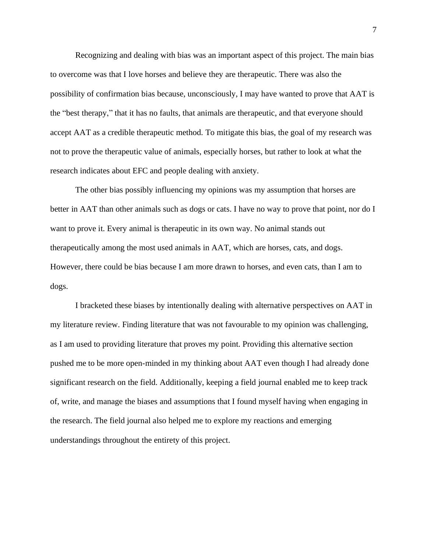Recognizing and dealing with bias was an important aspect of this project. The main bias to overcome was that I love horses and believe they are therapeutic. There was also the possibility of confirmation bias because, unconsciously, I may have wanted to prove that AAT is the "best therapy," that it has no faults, that animals are therapeutic, and that everyone should accept AAT as a credible therapeutic method. To mitigate this bias, the goal of my research was not to prove the therapeutic value of animals, especially horses, but rather to look at what the research indicates about EFC and people dealing with anxiety.

The other bias possibly influencing my opinions was my assumption that horses are better in AAT than other animals such as dogs or cats. I have no way to prove that point, nor do I want to prove it. Every animal is therapeutic in its own way. No animal stands out therapeutically among the most used animals in AAT, which are horses, cats, and dogs. However, there could be bias because I am more drawn to horses, and even cats, than I am to dogs.

I bracketed these biases by intentionally dealing with alternative perspectives on AAT in my literature review. Finding literature that was not favourable to my opinion was challenging, as I am used to providing literature that proves my point. Providing this alternative section pushed me to be more open-minded in my thinking about AAT even though I had already done significant research on the field. Additionally, keeping a field journal enabled me to keep track of, write, and manage the biases and assumptions that I found myself having when engaging in the research. The field journal also helped me to explore my reactions and emerging understandings throughout the entirety of this project.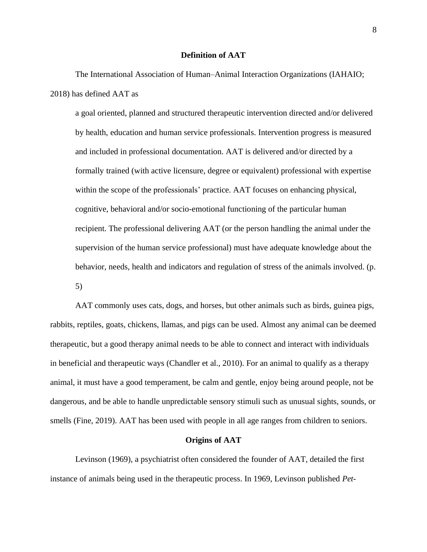## **Definition of AAT**

The International Association of Human–Animal Interaction Organizations (IAHAIO; 2018) has defined AAT as

a goal oriented, planned and structured therapeutic intervention directed and/or delivered by health, education and human service professionals. Intervention progress is measured and included in professional documentation. AAT is delivered and/or directed by a formally trained (with active licensure, degree or equivalent) professional with expertise within the scope of the professionals' practice. AAT focuses on enhancing physical, cognitive, behavioral and/or socio-emotional functioning of the particular human recipient. The professional delivering AAT (or the person handling the animal under the supervision of the human service professional) must have adequate knowledge about the behavior, needs, health and indicators and regulation of stress of the animals involved. (p. 5)

AAT commonly uses cats, dogs, and horses, but other animals such as birds, guinea pigs, rabbits, reptiles, goats, chickens, llamas, and pigs can be used. Almost any animal can be deemed therapeutic, but a good therapy animal needs to be able to connect and interact with individuals in beneficial and therapeutic ways (Chandler et al., 2010). For an animal to qualify as a therapy animal, it must have a good temperament, be calm and gentle, enjoy being around people, not be dangerous, and be able to handle unpredictable sensory stimuli such as unusual sights, sounds, or smells (Fine, 2019). AAT has been used with people in all age ranges from children to seniors.

#### **Origins of AAT**

Levinson (1969), a psychiatrist often considered the founder of AAT, detailed the first instance of animals being used in the therapeutic process. In 1969, Levinson published *Pet-*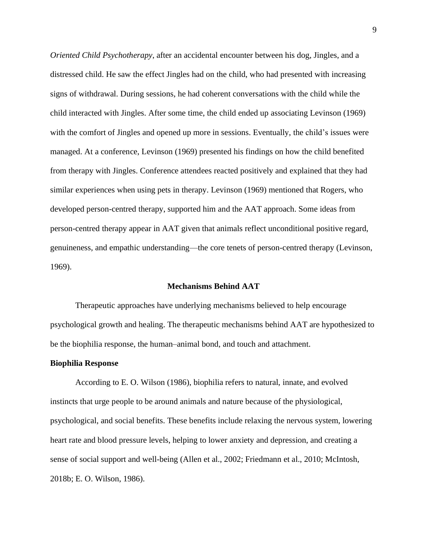*Oriented Child Psychotherapy*, after an accidental encounter between his dog, Jingles, and a distressed child. He saw the effect Jingles had on the child, who had presented with increasing signs of withdrawal. During sessions, he had coherent conversations with the child while the child interacted with Jingles. After some time, the child ended up associating Levinson (1969) with the comfort of Jingles and opened up more in sessions. Eventually, the child's issues were managed. At a conference, Levinson (1969) presented his findings on how the child benefited from therapy with Jingles. Conference attendees reacted positively and explained that they had similar experiences when using pets in therapy. Levinson (1969) mentioned that Rogers, who developed person-centred therapy, supported him and the AAT approach. Some ideas from person-centred therapy appear in AAT given that animals reflect unconditional positive regard, genuineness, and empathic understanding—the core tenets of person-centred therapy (Levinson, 1969).

#### **Mechanisms Behind AAT**

Therapeutic approaches have underlying mechanisms believed to help encourage psychological growth and healing. The therapeutic mechanisms behind AAT are hypothesized to be the biophilia response, the human–animal bond, and touch and attachment.

#### **Biophilia Response**

According to E. O. Wilson (1986), biophilia refers to natural, innate, and evolved instincts that urge people to be around animals and nature because of the physiological, psychological, and social benefits. These benefits include relaxing the nervous system, lowering heart rate and blood pressure levels, helping to lower anxiety and depression, and creating a sense of social support and well-being (Allen et al., 2002; Friedmann et al., 2010; McIntosh, 2018b; E. O. Wilson, 1986).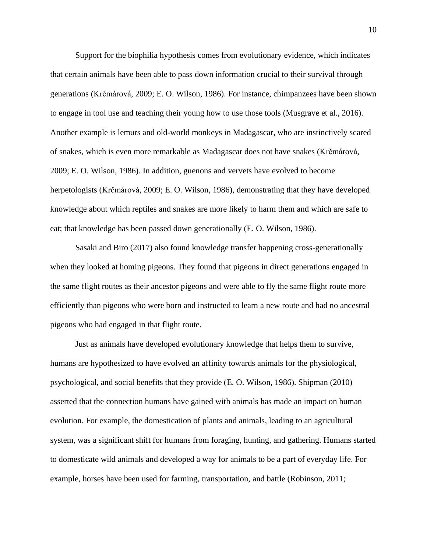Support for the biophilia hypothesis comes from evolutionary evidence, which indicates that certain animals have been able to pass down information crucial to their survival through generations (Krčmárová, 2009; E. O. Wilson, 1986). For instance, chimpanzees have been shown to engage in tool use and teaching their young how to use those tools (Musgrave et al., 2016). Another example is lemurs and old-world monkeys in Madagascar, who are instinctively scared of snakes, which is even more remarkable as Madagascar does not have snakes (Krčmárová, 2009; E. O. Wilson, 1986). In addition, guenons and vervets have evolved to become herpetologists (Krčmárová, 2009; E. O. Wilson, 1986), demonstrating that they have developed knowledge about which reptiles and snakes are more likely to harm them and which are safe to eat; that knowledge has been passed down generationally (E. O. Wilson, 1986).

Sasaki and Biro (2017) also found knowledge transfer happening cross-generationally when they looked at homing pigeons. They found that pigeons in direct generations engaged in the same flight routes as their ancestor pigeons and were able to fly the same flight route more efficiently than pigeons who were born and instructed to learn a new route and had no ancestral pigeons who had engaged in that flight route.

Just as animals have developed evolutionary knowledge that helps them to survive, humans are hypothesized to have evolved an affinity towards animals for the physiological, psychological, and social benefits that they provide (E. O. Wilson, 1986). Shipman (2010) asserted that the connection humans have gained with animals has made an impact on human evolution. For example, the domestication of plants and animals, leading to an agricultural system, was a significant shift for humans from foraging, hunting, and gathering. Humans started to domesticate wild animals and developed a way for animals to be a part of everyday life. For example, horses have been used for farming, transportation, and battle (Robinson, 2011;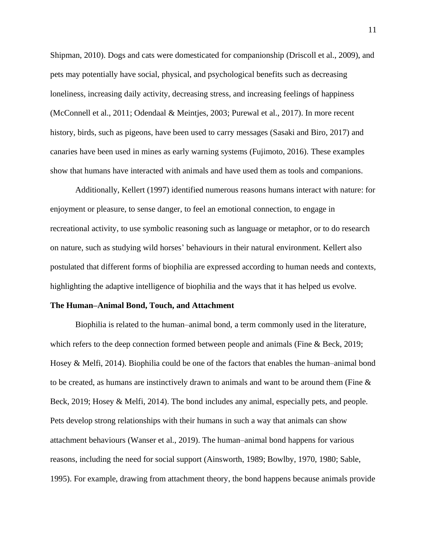Shipman, 2010). Dogs and cats were domesticated for companionship (Driscoll et al., 2009), and pets may potentially have social, physical, and psychological benefits such as decreasing loneliness, increasing daily activity, decreasing stress, and increasing feelings of happiness (McConnell et al., 2011; Odendaal & Meintjes, 2003; Purewal et al., 2017). In more recent history, birds, such as pigeons, have been used to carry messages (Sasaki and Biro, 2017) and canaries have been used in mines as early warning systems (Fujimoto, 2016). These examples show that humans have interacted with animals and have used them as tools and companions.

Additionally, Kellert (1997) identified numerous reasons humans interact with nature: for enjoyment or pleasure, to sense danger, to feel an emotional connection, to engage in recreational activity, to use symbolic reasoning such as language or metaphor, or to do research on nature, such as studying wild horses' behaviours in their natural environment. Kellert also postulated that different forms of biophilia are expressed according to human needs and contexts, highlighting the adaptive intelligence of biophilia and the ways that it has helped us evolve.

#### **The Human–Animal Bond, Touch, and Attachment**

Biophilia is related to the human–animal bond, a term commonly used in the literature, which refers to the deep connection formed between people and animals (Fine & Beck, 2019; Hosey & Melfi, 2014). Biophilia could be one of the factors that enables the human–animal bond to be created, as humans are instinctively drawn to animals and want to be around them (Fine  $\&$ Beck, 2019; Hosey & Melfi, 2014). The bond includes any animal, especially pets, and people. Pets develop strong relationships with their humans in such a way that animals can show attachment behaviours (Wanser et al., 2019). The human–animal bond happens for various reasons, including the need for social support (Ainsworth, 1989; Bowlby, 1970, 1980; Sable, 1995). For example, drawing from attachment theory, the bond happens because animals provide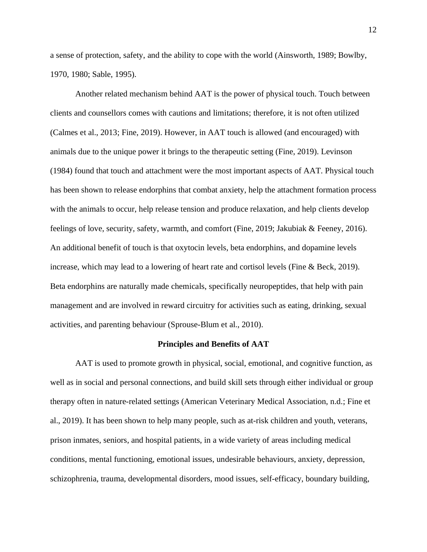a sense of protection, safety, and the ability to cope with the world (Ainsworth, 1989; Bowlby, 1970, 1980; Sable, 1995).

Another related mechanism behind AAT is the power of physical touch. Touch between clients and counsellors comes with cautions and limitations; therefore, it is not often utilized (Calmes et al., 2013; Fine, 2019). However, in AAT touch is allowed (and encouraged) with animals due to the unique power it brings to the therapeutic setting (Fine, 2019). Levinson (1984) found that touch and attachment were the most important aspects of AAT. Physical touch has been shown to release endorphins that combat anxiety, help the attachment formation process with the animals to occur, help release tension and produce relaxation, and help clients develop feelings of love, security, safety, warmth, and comfort (Fine, 2019; Jakubiak & Feeney, 2016). An additional benefit of touch is that oxytocin levels, beta endorphins, and dopamine levels increase, which may lead to a lowering of heart rate and cortisol levels (Fine & Beck, 2019). Beta endorphins are naturally made chemicals, specifically neuropeptides, that help with pain management and are involved in reward circuitry for activities such as eating, drinking, sexual activities, and parenting behaviour (Sprouse-Blum et al., 2010).

#### **Principles and Benefits of AAT**

AAT is used to promote growth in physical, social, emotional, and cognitive function, as well as in social and personal connections, and build skill sets through either individual or group therapy often in nature-related settings (American Veterinary Medical Association, n.d.; Fine et al., 2019). It has been shown to help many people, such as at-risk children and youth, veterans, prison inmates, seniors, and hospital patients, in a wide variety of areas including medical conditions, mental functioning, emotional issues, undesirable behaviours, anxiety, depression, schizophrenia, trauma, developmental disorders, mood issues, self-efficacy, boundary building,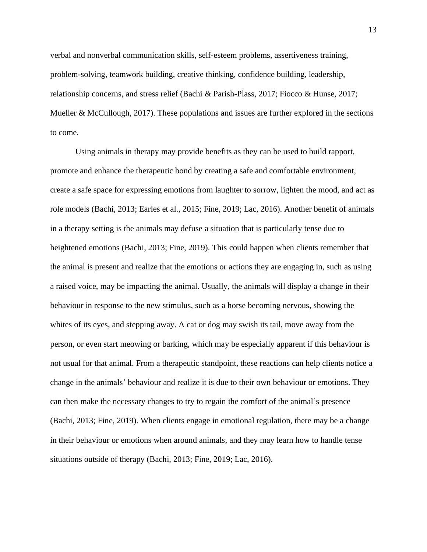verbal and nonverbal communication skills, self-esteem problems, assertiveness training, problem-solving, teamwork building, creative thinking, confidence building, leadership, relationship concerns, and stress relief (Bachi & Parish-Plass, 2017; Fiocco & Hunse, 2017; Mueller & McCullough, 2017). These populations and issues are further explored in the sections to come.

Using animals in therapy may provide benefits as they can be used to build rapport, promote and enhance the therapeutic bond by creating a safe and comfortable environment, create a safe space for expressing emotions from laughter to sorrow, lighten the mood, and act as role models (Bachi, 2013; Earles et al., 2015; Fine, 2019; Lac, 2016). Another benefit of animals in a therapy setting is the animals may defuse a situation that is particularly tense due to heightened emotions (Bachi, 2013; Fine, 2019). This could happen when clients remember that the animal is present and realize that the emotions or actions they are engaging in, such as using a raised voice, may be impacting the animal. Usually, the animals will display a change in their behaviour in response to the new stimulus, such as a horse becoming nervous, showing the whites of its eyes, and stepping away. A cat or dog may swish its tail, move away from the person, or even start meowing or barking, which may be especially apparent if this behaviour is not usual for that animal. From a therapeutic standpoint, these reactions can help clients notice a change in the animals' behaviour and realize it is due to their own behaviour or emotions. They can then make the necessary changes to try to regain the comfort of the animal's presence (Bachi, 2013; Fine, 2019). When clients engage in emotional regulation, there may be a change in their behaviour or emotions when around animals, and they may learn how to handle tense situations outside of therapy (Bachi, 2013; Fine, 2019; Lac, 2016).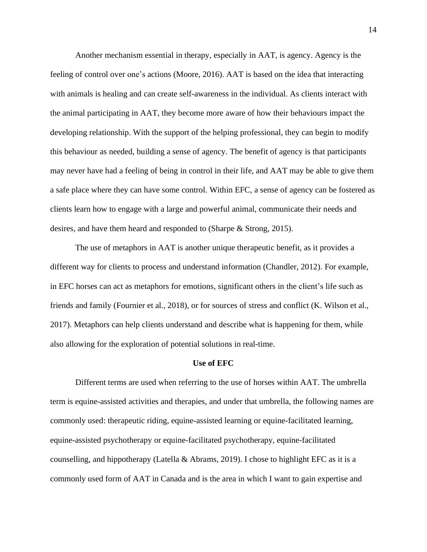Another mechanism essential in therapy, especially in AAT, is agency. Agency is the feeling of control over one's actions (Moore, 2016). AAT is based on the idea that interacting with animals is healing and can create self-awareness in the individual. As clients interact with the animal participating in AAT, they become more aware of how their behaviours impact the developing relationship. With the support of the helping professional, they can begin to modify this behaviour as needed, building a sense of agency. The benefit of agency is that participants may never have had a feeling of being in control in their life, and AAT may be able to give them a safe place where they can have some control. Within EFC, a sense of agency can be fostered as clients learn how to engage with a large and powerful animal, communicate their needs and desires, and have them heard and responded to (Sharpe & Strong, 2015).

The use of metaphors in AAT is another unique therapeutic benefit, as it provides a different way for clients to process and understand information (Chandler, 2012). For example, in EFC horses can act as metaphors for emotions, significant others in the client's life such as friends and family (Fournier et al., 2018), or for sources of stress and conflict (K. Wilson et al., 2017). Metaphors can help clients understand and describe what is happening for them, while also allowing for the exploration of potential solutions in real-time.

#### **Use of EFC**

Different terms are used when referring to the use of horses within AAT. The umbrella term is equine-assisted activities and therapies, and under that umbrella, the following names are commonly used: therapeutic riding, equine-assisted learning or equine-facilitated learning, equine-assisted psychotherapy or equine-facilitated psychotherapy, equine-facilitated counselling, and hippotherapy (Latella & Abrams, 2019). I chose to highlight EFC as it is a commonly used form of AAT in Canada and is the area in which I want to gain expertise and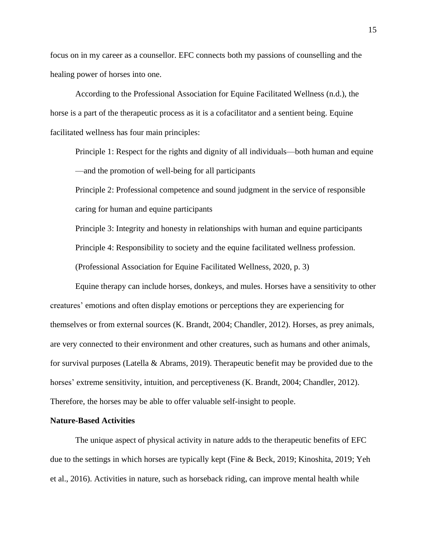focus on in my career as a counsellor. EFC connects both my passions of counselling and the healing power of horses into one.

According to the Professional Association for Equine Facilitated Wellness (n.d.), the horse is a part of the therapeutic process as it is a cofacilitator and a sentient being. Equine facilitated wellness has four main principles:

Principle 1: Respect for the rights and dignity of all individuals—both human and equine —and the promotion of well-being for all participants

Principle 2: Professional competence and sound judgment in the service of responsible caring for human and equine participants

Principle 3: Integrity and honesty in relationships with human and equine participants

Principle 4: Responsibility to society and the equine facilitated wellness profession.

(Professional Association for Equine Facilitated Wellness, 2020, p. 3)

Equine therapy can include horses, donkeys, and mules. Horses have a sensitivity to other creatures' emotions and often display emotions or perceptions they are experiencing for themselves or from external sources (K. Brandt, 2004; Chandler, 2012). Horses, as prey animals, are very connected to their environment and other creatures, such as humans and other animals, for survival purposes (Latella & Abrams, 2019). Therapeutic benefit may be provided due to the horses' extreme sensitivity, intuition, and perceptiveness (K. Brandt, 2004; Chandler, 2012). Therefore, the horses may be able to offer valuable self-insight to people.

#### **Nature-Based Activities**

The unique aspect of physical activity in nature adds to the therapeutic benefits of EFC due to the settings in which horses are typically kept (Fine & Beck, 2019; Kinoshita, 2019; Yeh et al., 2016). Activities in nature, such as horseback riding, can improve mental health while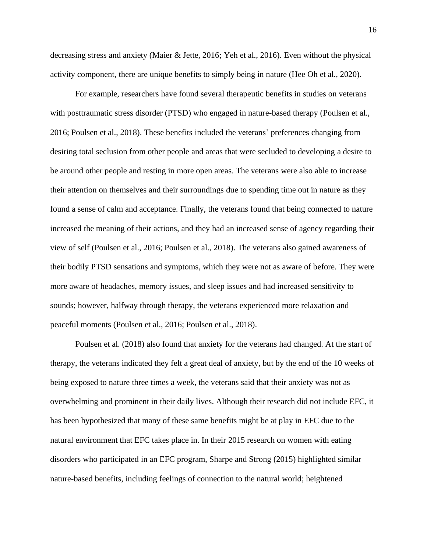decreasing stress and anxiety (Maier & Jette, 2016; Yeh et al., 2016). Even without the physical activity component, there are unique benefits to simply being in nature (Hee Oh et al., 2020).

For example, researchers have found several therapeutic benefits in studies on veterans with posttraumatic stress disorder (PTSD) who engaged in nature-based therapy (Poulsen et al., 2016; Poulsen et al., 2018). These benefits included the veterans' preferences changing from desiring total seclusion from other people and areas that were secluded to developing a desire to be around other people and resting in more open areas. The veterans were also able to increase their attention on themselves and their surroundings due to spending time out in nature as they found a sense of calm and acceptance. Finally, the veterans found that being connected to nature increased the meaning of their actions, and they had an increased sense of agency regarding their view of self (Poulsen et al., 2016; Poulsen et al., 2018). The veterans also gained awareness of their bodily PTSD sensations and symptoms, which they were not as aware of before. They were more aware of headaches, memory issues, and sleep issues and had increased sensitivity to sounds; however, halfway through therapy, the veterans experienced more relaxation and peaceful moments (Poulsen et al., 2016; Poulsen et al., 2018).

Poulsen et al. (2018) also found that anxiety for the veterans had changed. At the start of therapy, the veterans indicated they felt a great deal of anxiety, but by the end of the 10 weeks of being exposed to nature three times a week, the veterans said that their anxiety was not as overwhelming and prominent in their daily lives. Although their research did not include EFC, it has been hypothesized that many of these same benefits might be at play in EFC due to the natural environment that EFC takes place in. In their 2015 research on women with eating disorders who participated in an EFC program, Sharpe and Strong (2015) highlighted similar nature-based benefits, including feelings of connection to the natural world; heightened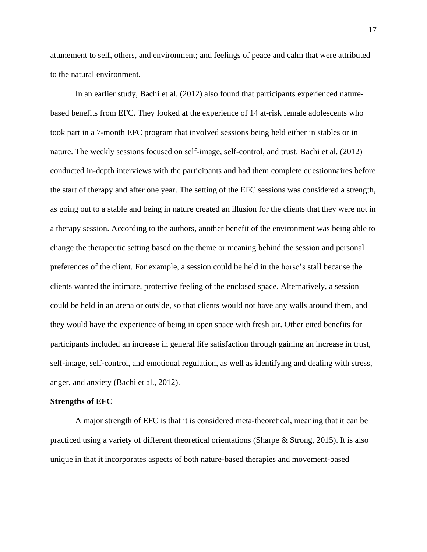attunement to self, others, and environment; and feelings of peace and calm that were attributed to the natural environment.

In an earlier study, Bachi et al. (2012) also found that participants experienced naturebased benefits from EFC. They looked at the experience of 14 at-risk female adolescents who took part in a 7-month EFC program that involved sessions being held either in stables or in nature. The weekly sessions focused on self-image, self-control, and trust. Bachi et al. (2012) conducted in-depth interviews with the participants and had them complete questionnaires before the start of therapy and after one year. The setting of the EFC sessions was considered a strength, as going out to a stable and being in nature created an illusion for the clients that they were not in a therapy session. According to the authors, another benefit of the environment was being able to change the therapeutic setting based on the theme or meaning behind the session and personal preferences of the client. For example, a session could be held in the horse's stall because the clients wanted the intimate, protective feeling of the enclosed space. Alternatively, a session could be held in an arena or outside, so that clients would not have any walls around them, and they would have the experience of being in open space with fresh air. Other cited benefits for participants included an increase in general life satisfaction through gaining an increase in trust, self-image, self-control, and emotional regulation, as well as identifying and dealing with stress, anger, and anxiety (Bachi et al., 2012).

## **Strengths of EFC**

A major strength of EFC is that it is considered meta-theoretical, meaning that it can be practiced using a variety of different theoretical orientations (Sharpe & Strong, 2015). It is also unique in that it incorporates aspects of both nature-based therapies and movement-based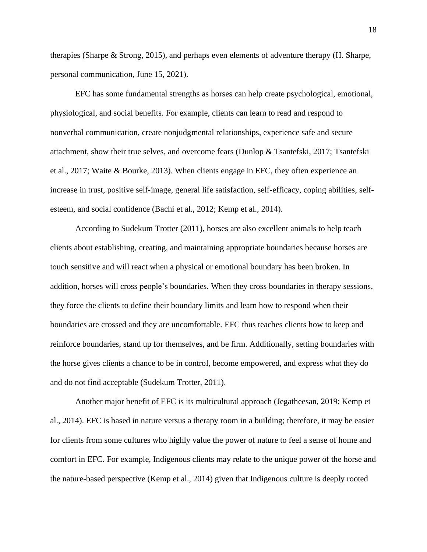therapies (Sharpe & Strong, 2015), and perhaps even elements of adventure therapy (H. Sharpe, personal communication, June 15, 2021).

EFC has some fundamental strengths as horses can help create psychological, emotional, physiological, and social benefits. For example, clients can learn to read and respond to nonverbal communication, create nonjudgmental relationships, experience safe and secure attachment, show their true selves, and overcome fears (Dunlop & Tsantefski, 2017; Tsantefski et al., 2017; Waite & Bourke, 2013). When clients engage in EFC, they often experience an increase in trust, positive self-image, general life satisfaction, self-efficacy, coping abilities, selfesteem, and social confidence (Bachi et al., 2012; Kemp et al., 2014).

According to Sudekum Trotter (2011), horses are also excellent animals to help teach clients about establishing, creating, and maintaining appropriate boundaries because horses are touch sensitive and will react when a physical or emotional boundary has been broken. In addition, horses will cross people's boundaries. When they cross boundaries in therapy sessions, they force the clients to define their boundary limits and learn how to respond when their boundaries are crossed and they are uncomfortable. EFC thus teaches clients how to keep and reinforce boundaries, stand up for themselves, and be firm. Additionally, setting boundaries with the horse gives clients a chance to be in control, become empowered, and express what they do and do not find acceptable (Sudekum Trotter, 2011).

Another major benefit of EFC is its multicultural approach (Jegatheesan, 2019; Kemp et al., 2014). EFC is based in nature versus a therapy room in a building; therefore, it may be easier for clients from some cultures who highly value the power of nature to feel a sense of home and comfort in EFC. For example, Indigenous clients may relate to the unique power of the horse and the nature-based perspective (Kemp et al., 2014) given that Indigenous culture is deeply rooted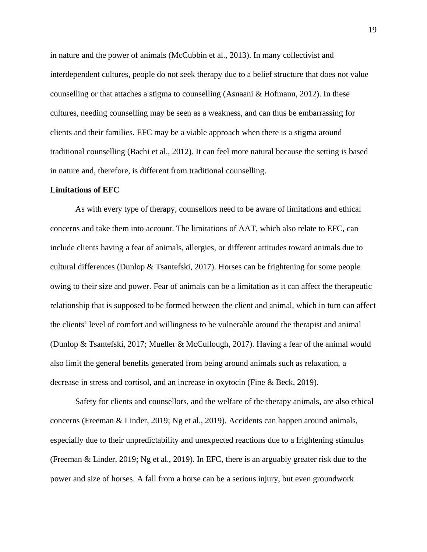in nature and the power of animals (McCubbin et al., 2013). In many collectivist and interdependent cultures, people do not seek therapy due to a belief structure that does not value counselling or that attaches a stigma to counselling (Asnaani & Hofmann, 2012). In these cultures, needing counselling may be seen as a weakness, and can thus be embarrassing for clients and their families. EFC may be a viable approach when there is a stigma around traditional counselling (Bachi et al., 2012). It can feel more natural because the setting is based in nature and, therefore, is different from traditional counselling.

#### **Limitations of EFC**

As with every type of therapy, counsellors need to be aware of limitations and ethical concerns and take them into account. The limitations of AAT, which also relate to EFC, can include clients having a fear of animals, allergies, or different attitudes toward animals due to cultural differences (Dunlop & Tsantefski, 2017). Horses can be frightening for some people owing to their size and power. Fear of animals can be a limitation as it can affect the therapeutic relationship that is supposed to be formed between the client and animal, which in turn can affect the clients' level of comfort and willingness to be vulnerable around the therapist and animal (Dunlop & Tsantefski, 2017; Mueller & McCullough, 2017). Having a fear of the animal would also limit the general benefits generated from being around animals such as relaxation, a decrease in stress and cortisol, and an increase in oxytocin (Fine & Beck, 2019).

Safety for clients and counsellors, and the welfare of the therapy animals, are also ethical concerns (Freeman & Linder, 2019; Ng et al., 2019). Accidents can happen around animals, especially due to their unpredictability and unexpected reactions due to a frightening stimulus (Freeman & Linder, 2019; Ng et al., 2019). In EFC, there is an arguably greater risk due to the power and size of horses. A fall from a horse can be a serious injury, but even groundwork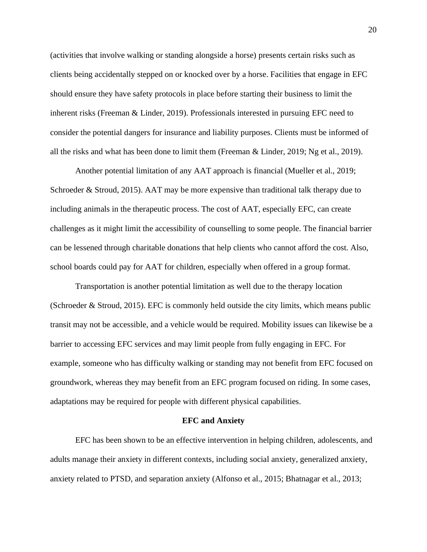(activities that involve walking or standing alongside a horse) presents certain risks such as clients being accidentally stepped on or knocked over by a horse. Facilities that engage in EFC should ensure they have safety protocols in place before starting their business to limit the inherent risks (Freeman & Linder, 2019). Professionals interested in pursuing EFC need to consider the potential dangers for insurance and liability purposes. Clients must be informed of all the risks and what has been done to limit them (Freeman & Linder, 2019; Ng et al., 2019).

Another potential limitation of any AAT approach is financial (Mueller et al., 2019; Schroeder & Stroud, 2015). AAT may be more expensive than traditional talk therapy due to including animals in the therapeutic process. The cost of AAT, especially EFC, can create challenges as it might limit the accessibility of counselling to some people. The financial barrier can be lessened through charitable donations that help clients who cannot afford the cost. Also, school boards could pay for AAT for children, especially when offered in a group format.

Transportation is another potential limitation as well due to the therapy location (Schroeder & Stroud, 2015). EFC is commonly held outside the city limits, which means public transit may not be accessible, and a vehicle would be required. Mobility issues can likewise be a barrier to accessing EFC services and may limit people from fully engaging in EFC. For example, someone who has difficulty walking or standing may not benefit from EFC focused on groundwork, whereas they may benefit from an EFC program focused on riding. In some cases, adaptations may be required for people with different physical capabilities.

#### **EFC and Anxiety**

EFC has been shown to be an effective intervention in helping children, adolescents, and adults manage their anxiety in different contexts, including social anxiety, generalized anxiety, anxiety related to PTSD, and separation anxiety (Alfonso et al., 2015; Bhatnagar et al., 2013;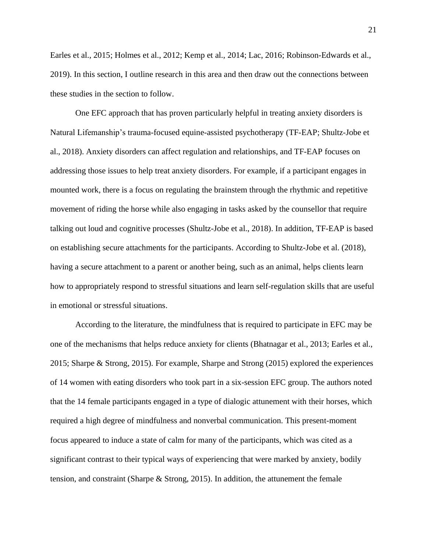Earles et al., 2015; Holmes et al., 2012; Kemp et al., 2014; Lac, 2016; Robinson-Edwards et al., 2019). In this section, I outline research in this area and then draw out the connections between these studies in the section to follow.

One EFC approach that has proven particularly helpful in treating anxiety disorders is Natural Lifemanship's trauma-focused equine-assisted psychotherapy (TF-EAP; Shultz-Jobe et al., 2018). Anxiety disorders can affect regulation and relationships, and TF-EAP focuses on addressing those issues to help treat anxiety disorders. For example, if a participant engages in mounted work, there is a focus on regulating the brainstem through the rhythmic and repetitive movement of riding the horse while also engaging in tasks asked by the counsellor that require talking out loud and cognitive processes (Shultz-Jobe et al., 2018). In addition, TF-EAP is based on establishing secure attachments for the participants. According to Shultz-Jobe et al. (2018), having a secure attachment to a parent or another being, such as an animal, helps clients learn how to appropriately respond to stressful situations and learn self-regulation skills that are useful in emotional or stressful situations.

According to the literature, the mindfulness that is required to participate in EFC may be one of the mechanisms that helps reduce anxiety for clients (Bhatnagar et al., 2013; Earles et al., 2015; Sharpe & Strong, 2015). For example, Sharpe and Strong (2015) explored the experiences of 14 women with eating disorders who took part in a six-session EFC group. The authors noted that the 14 female participants engaged in a type of dialogic attunement with their horses, which required a high degree of mindfulness and nonverbal communication. This present-moment focus appeared to induce a state of calm for many of the participants, which was cited as a significant contrast to their typical ways of experiencing that were marked by anxiety, bodily tension, and constraint (Sharpe & Strong, 2015). In addition, the attunement the female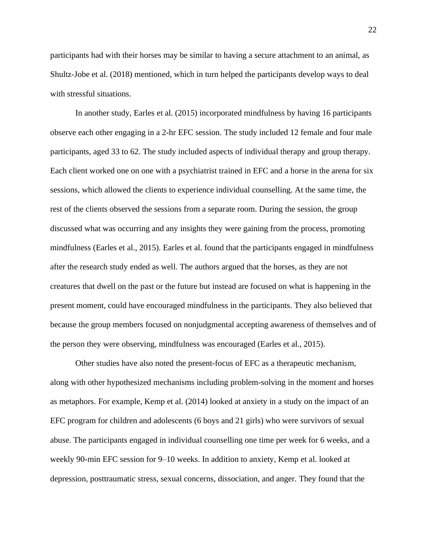participants had with their horses may be similar to having a secure attachment to an animal, as Shultz-Jobe et al. (2018) mentioned, which in turn helped the participants develop ways to deal with stressful situations.

In another study, Earles et al. (2015) incorporated mindfulness by having 16 participants observe each other engaging in a 2-hr EFC session. The study included 12 female and four male participants, aged 33 to 62. The study included aspects of individual therapy and group therapy. Each client worked one on one with a psychiatrist trained in EFC and a horse in the arena for six sessions, which allowed the clients to experience individual counselling. At the same time, the rest of the clients observed the sessions from a separate room. During the session, the group discussed what was occurring and any insights they were gaining from the process, promoting mindfulness (Earles et al., 2015). Earles et al. found that the participants engaged in mindfulness after the research study ended as well. The authors argued that the horses, as they are not creatures that dwell on the past or the future but instead are focused on what is happening in the present moment, could have encouraged mindfulness in the participants. They also believed that because the group members focused on nonjudgmental accepting awareness of themselves and of the person they were observing, mindfulness was encouraged (Earles et al., 2015).

Other studies have also noted the present-focus of EFC as a therapeutic mechanism, along with other hypothesized mechanisms including problem-solving in the moment and horses as metaphors. For example, Kemp et al. (2014) looked at anxiety in a study on the impact of an EFC program for children and adolescents (6 boys and 21 girls) who were survivors of sexual abuse. The participants engaged in individual counselling one time per week for 6 weeks, and a weekly 90-min EFC session for 9–10 weeks. In addition to anxiety, Kemp et al. looked at depression, posttraumatic stress, sexual concerns, dissociation, and anger. They found that the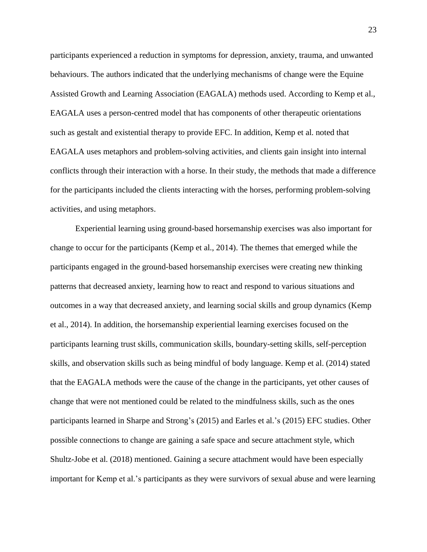participants experienced a reduction in symptoms for depression, anxiety, trauma, and unwanted behaviours. The authors indicated that the underlying mechanisms of change were the Equine Assisted Growth and Learning Association (EAGALA) methods used. According to Kemp et al., EAGALA uses a person-centred model that has components of other therapeutic orientations such as gestalt and existential therapy to provide EFC. In addition, Kemp et al. noted that EAGALA uses metaphors and problem-solving activities, and clients gain insight into internal conflicts through their interaction with a horse. In their study, the methods that made a difference for the participants included the clients interacting with the horses, performing problem-solving activities, and using metaphors.

Experiential learning using ground-based horsemanship exercises was also important for change to occur for the participants (Kemp et al., 2014). The themes that emerged while the participants engaged in the ground-based horsemanship exercises were creating new thinking patterns that decreased anxiety, learning how to react and respond to various situations and outcomes in a way that decreased anxiety, and learning social skills and group dynamics (Kemp et al., 2014). In addition, the horsemanship experiential learning exercises focused on the participants learning trust skills, communication skills, boundary-setting skills, self-perception skills, and observation skills such as being mindful of body language. Kemp et al. (2014) stated that the EAGALA methods were the cause of the change in the participants, yet other causes of change that were not mentioned could be related to the mindfulness skills, such as the ones participants learned in Sharpe and Strong's (2015) and Earles et al.'s (2015) EFC studies. Other possible connections to change are gaining a safe space and secure attachment style, which Shultz-Jobe et al. (2018) mentioned. Gaining a secure attachment would have been especially important for Kemp et al.'s participants as they were survivors of sexual abuse and were learning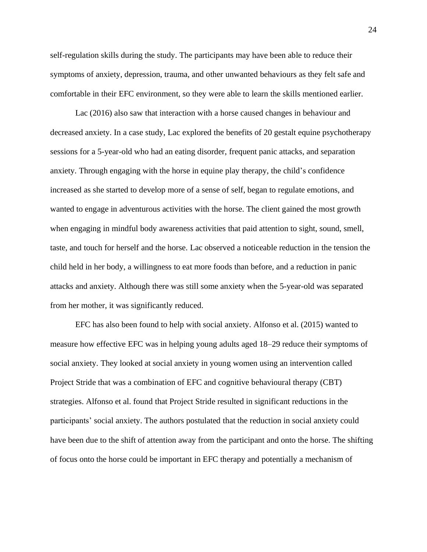self-regulation skills during the study. The participants may have been able to reduce their symptoms of anxiety, depression, trauma, and other unwanted behaviours as they felt safe and comfortable in their EFC environment, so they were able to learn the skills mentioned earlier.

Lac (2016) also saw that interaction with a horse caused changes in behaviour and decreased anxiety. In a case study, Lac explored the benefits of 20 gestalt equine psychotherapy sessions for a 5-year-old who had an eating disorder, frequent panic attacks, and separation anxiety. Through engaging with the horse in equine play therapy, the child's confidence increased as she started to develop more of a sense of self, began to regulate emotions, and wanted to engage in adventurous activities with the horse. The client gained the most growth when engaging in mindful body awareness activities that paid attention to sight, sound, smell, taste, and touch for herself and the horse. Lac observed a noticeable reduction in the tension the child held in her body, a willingness to eat more foods than before, and a reduction in panic attacks and anxiety. Although there was still some anxiety when the 5-year-old was separated from her mother, it was significantly reduced.

EFC has also been found to help with social anxiety. Alfonso et al. (2015) wanted to measure how effective EFC was in helping young adults aged 18–29 reduce their symptoms of social anxiety. They looked at social anxiety in young women using an intervention called Project Stride that was a combination of EFC and cognitive behavioural therapy (CBT) strategies. Alfonso et al. found that Project Stride resulted in significant reductions in the participants' social anxiety. The authors postulated that the reduction in social anxiety could have been due to the shift of attention away from the participant and onto the horse. The shifting of focus onto the horse could be important in EFC therapy and potentially a mechanism of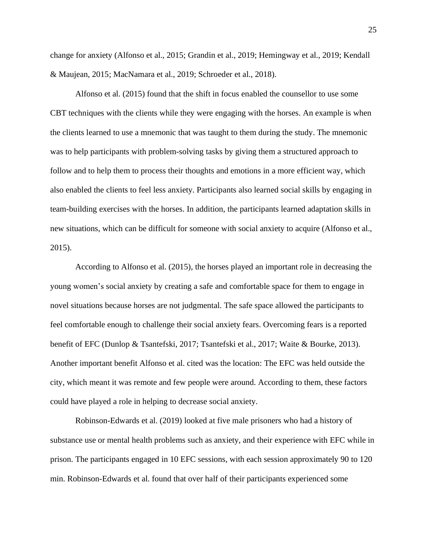change for anxiety (Alfonso et al., 2015; Grandin et al., 2019; Hemingway et al., 2019; Kendall & Maujean, 2015; MacNamara et al., 2019; Schroeder et al., 2018).

Alfonso et al. (2015) found that the shift in focus enabled the counsellor to use some CBT techniques with the clients while they were engaging with the horses. An example is when the clients learned to use a mnemonic that was taught to them during the study. The mnemonic was to help participants with problem-solving tasks by giving them a structured approach to follow and to help them to process their thoughts and emotions in a more efficient way, which also enabled the clients to feel less anxiety. Participants also learned social skills by engaging in team-building exercises with the horses. In addition, the participants learned adaptation skills in new situations, which can be difficult for someone with social anxiety to acquire (Alfonso et al., 2015).

According to Alfonso et al. (2015), the horses played an important role in decreasing the young women's social anxiety by creating a safe and comfortable space for them to engage in novel situations because horses are not judgmental. The safe space allowed the participants to feel comfortable enough to challenge their social anxiety fears. Overcoming fears is a reported benefit of EFC (Dunlop & Tsantefski, 2017; Tsantefski et al., 2017; Waite & Bourke, 2013). Another important benefit Alfonso et al. cited was the location: The EFC was held outside the city, which meant it was remote and few people were around. According to them, these factors could have played a role in helping to decrease social anxiety.

Robinson-Edwards et al. (2019) looked at five male prisoners who had a history of substance use or mental health problems such as anxiety, and their experience with EFC while in prison. The participants engaged in 10 EFC sessions, with each session approximately 90 to 120 min. Robinson-Edwards et al. found that over half of their participants experienced some

25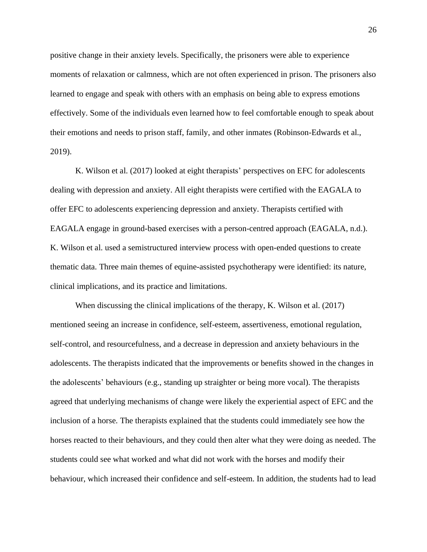positive change in their anxiety levels. Specifically, the prisoners were able to experience moments of relaxation or calmness, which are not often experienced in prison. The prisoners also learned to engage and speak with others with an emphasis on being able to express emotions effectively. Some of the individuals even learned how to feel comfortable enough to speak about their emotions and needs to prison staff, family, and other inmates (Robinson-Edwards et al., 2019).

K. Wilson et al. (2017) looked at eight therapists' perspectives on EFC for adolescents dealing with depression and anxiety. All eight therapists were certified with the EAGALA to offer EFC to adolescents experiencing depression and anxiety. Therapists certified with EAGALA engage in ground-based exercises with a person-centred approach (EAGALA, n.d.). K. Wilson et al. used a semistructured interview process with open-ended questions to create thematic data. Three main themes of equine-assisted psychotherapy were identified: its nature, clinical implications, and its practice and limitations.

When discussing the clinical implications of the therapy, K. Wilson et al. (2017) mentioned seeing an increase in confidence, self-esteem, assertiveness, emotional regulation, self-control, and resourcefulness, and a decrease in depression and anxiety behaviours in the adolescents. The therapists indicated that the improvements or benefits showed in the changes in the adolescents' behaviours (e.g., standing up straighter or being more vocal). The therapists agreed that underlying mechanisms of change were likely the experiential aspect of EFC and the inclusion of a horse. The therapists explained that the students could immediately see how the horses reacted to their behaviours, and they could then alter what they were doing as needed. The students could see what worked and what did not work with the horses and modify their behaviour, which increased their confidence and self-esteem. In addition, the students had to lead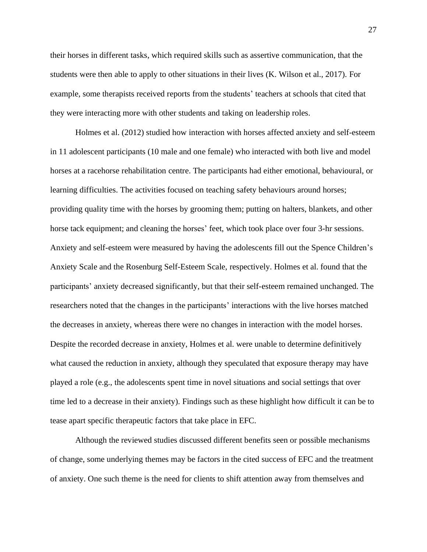their horses in different tasks, which required skills such as assertive communication, that the students were then able to apply to other situations in their lives (K. Wilson et al., 2017). For example, some therapists received reports from the students' teachers at schools that cited that they were interacting more with other students and taking on leadership roles.

Holmes et al. (2012) studied how interaction with horses affected anxiety and self-esteem in 11 adolescent participants (10 male and one female) who interacted with both live and model horses at a racehorse rehabilitation centre. The participants had either emotional, behavioural, or learning difficulties. The activities focused on teaching safety behaviours around horses; providing quality time with the horses by grooming them; putting on halters, blankets, and other horse tack equipment; and cleaning the horses' feet, which took place over four 3-hr sessions. Anxiety and self-esteem were measured by having the adolescents fill out the Spence Children's Anxiety Scale and the Rosenburg Self-Esteem Scale, respectively. Holmes et al. found that the participants' anxiety decreased significantly, but that their self-esteem remained unchanged. The researchers noted that the changes in the participants' interactions with the live horses matched the decreases in anxiety, whereas there were no changes in interaction with the model horses. Despite the recorded decrease in anxiety, Holmes et al. were unable to determine definitively what caused the reduction in anxiety, although they speculated that exposure therapy may have played a role (e.g., the adolescents spent time in novel situations and social settings that over time led to a decrease in their anxiety). Findings such as these highlight how difficult it can be to tease apart specific therapeutic factors that take place in EFC.

Although the reviewed studies discussed different benefits seen or possible mechanisms of change, some underlying themes may be factors in the cited success of EFC and the treatment of anxiety. One such theme is the need for clients to shift attention away from themselves and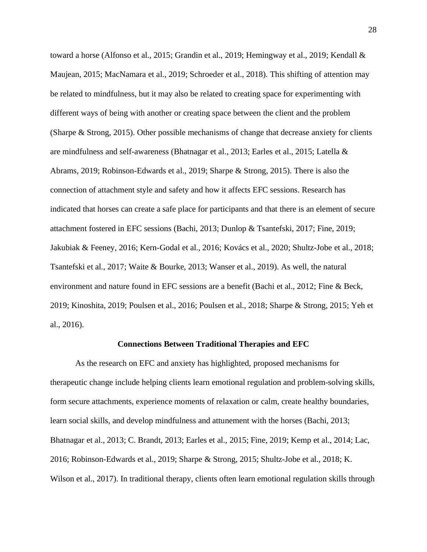toward a horse (Alfonso et al., 2015; Grandin et al., 2019; Hemingway et al., 2019; Kendall & Maujean, 2015; MacNamara et al., 2019; Schroeder et al., 2018). This shifting of attention may be related to mindfulness, but it may also be related to creating space for experimenting with different ways of being with another or creating space between the client and the problem (Sharpe & Strong, 2015). Other possible mechanisms of change that decrease anxiety for clients are mindfulness and self-awareness (Bhatnagar et al., 2013; Earles et al., 2015; Latella & Abrams, 2019; Robinson-Edwards et al., 2019; Sharpe & Strong, 2015). There is also the connection of attachment style and safety and how it affects EFC sessions. Research has indicated that horses can create a safe place for participants and that there is an element of secure attachment fostered in EFC sessions (Bachi, 2013; Dunlop & Tsantefski, 2017; Fine, 2019; Jakubiak & Feeney, 2016; Kern-Godal et al., 2016; Kovács et al., 2020; Shultz-Jobe et al., 2018; Tsantefski et al., 2017; Waite & Bourke, 2013; Wanser et al., 2019). As well, the natural environment and nature found in EFC sessions are a benefit (Bachi et al., 2012; Fine & Beck, 2019; Kinoshita, 2019; Poulsen et al., 2016; Poulsen et al., 2018; Sharpe & Strong, 2015; Yeh et al., 2016).

#### **Connections Between Traditional Therapies and EFC**

As the research on EFC and anxiety has highlighted, proposed mechanisms for therapeutic change include helping clients learn emotional regulation and problem-solving skills, form secure attachments, experience moments of relaxation or calm, create healthy boundaries, learn social skills, and develop mindfulness and attunement with the horses (Bachi, 2013; Bhatnagar et al., 2013; C. Brandt, 2013; Earles et al., 2015; Fine, 2019; Kemp et al., 2014; Lac, 2016; Robinson-Edwards et al., 2019; Sharpe & Strong, 2015; Shultz-Jobe et al., 2018; K. Wilson et al., 2017). In traditional therapy, clients often learn emotional regulation skills through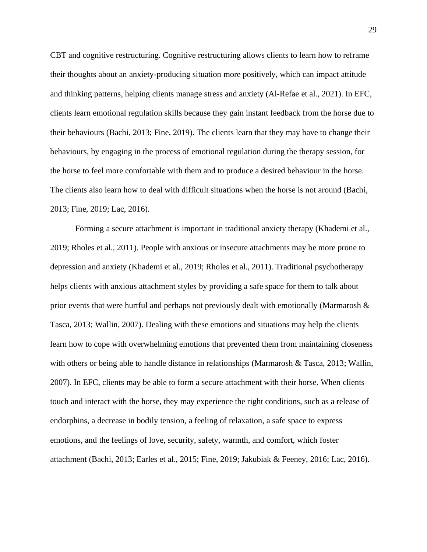CBT and cognitive restructuring. Cognitive restructuring allows clients to learn how to reframe their thoughts about an anxiety-producing situation more positively, which can impact attitude and thinking patterns, helping clients manage stress and anxiety (Al-Refae et al., 2021). In EFC, clients learn emotional regulation skills because they gain instant feedback from the horse due to their behaviours (Bachi, 2013; Fine, 2019). The clients learn that they may have to change their behaviours, by engaging in the process of emotional regulation during the therapy session, for the horse to feel more comfortable with them and to produce a desired behaviour in the horse. The clients also learn how to deal with difficult situations when the horse is not around (Bachi, 2013; Fine, 2019; Lac, 2016).

Forming a secure attachment is important in traditional anxiety therapy (Khademi et al., 2019; Rholes et al., 2011). People with anxious or insecure attachments may be more prone to depression and anxiety (Khademi et al., 2019; Rholes et al., 2011). Traditional psychotherapy helps clients with anxious attachment styles by providing a safe space for them to talk about prior events that were hurtful and perhaps not previously dealt with emotionally (Marmarosh & Tasca, 2013; Wallin, 2007). Dealing with these emotions and situations may help the clients learn how to cope with overwhelming emotions that prevented them from maintaining closeness with others or being able to handle distance in relationships (Marmarosh & Tasca, 2013; Wallin, 2007). In EFC, clients may be able to form a secure attachment with their horse. When clients touch and interact with the horse, they may experience the right conditions, such as a release of endorphins, a decrease in bodily tension, a feeling of relaxation, a safe space to express emotions, and the feelings of love, security, safety, warmth, and comfort, which foster attachment (Bachi, 2013; Earles et al., 2015; Fine, 2019; Jakubiak & Feeney, 2016; Lac, 2016).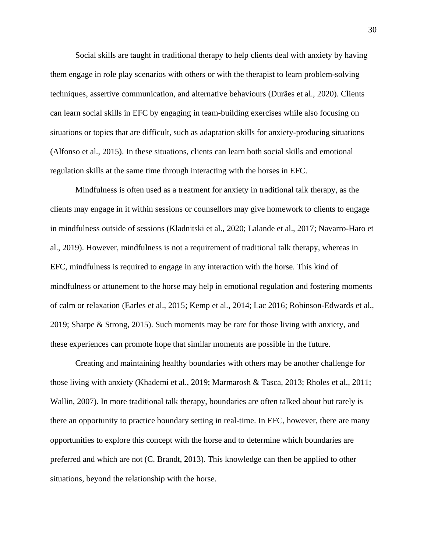Social skills are taught in traditional therapy to help clients deal with anxiety by having them engage in role play scenarios with others or with the therapist to learn problem-solving techniques, assertive communication, and alternative behaviours (Durães et al., 2020). Clients can learn social skills in EFC by engaging in team-building exercises while also focusing on situations or topics that are difficult, such as adaptation skills for anxiety-producing situations (Alfonso et al., 2015). In these situations, clients can learn both social skills and emotional regulation skills at the same time through interacting with the horses in EFC.

Mindfulness is often used as a treatment for anxiety in traditional talk therapy, as the clients may engage in it within sessions or counsellors may give homework to clients to engage in mindfulness outside of sessions (Kladnitski et al., 2020; Lalande et al., 2017; Navarro-Haro et al., 2019). However, mindfulness is not a requirement of traditional talk therapy, whereas in EFC, mindfulness is required to engage in any interaction with the horse. This kind of mindfulness or attunement to the horse may help in emotional regulation and fostering moments of calm or relaxation (Earles et al., 2015; Kemp et al., 2014; Lac 2016; Robinson-Edwards et al., 2019; Sharpe & Strong, 2015). Such moments may be rare for those living with anxiety, and these experiences can promote hope that similar moments are possible in the future.

Creating and maintaining healthy boundaries with others may be another challenge for those living with anxiety (Khademi et al., 2019; Marmarosh & Tasca, 2013; Rholes et al., 2011; Wallin, 2007). In more traditional talk therapy, boundaries are often talked about but rarely is there an opportunity to practice boundary setting in real-time. In EFC, however, there are many opportunities to explore this concept with the horse and to determine which boundaries are preferred and which are not (C. Brandt, 2013). This knowledge can then be applied to other situations, beyond the relationship with the horse.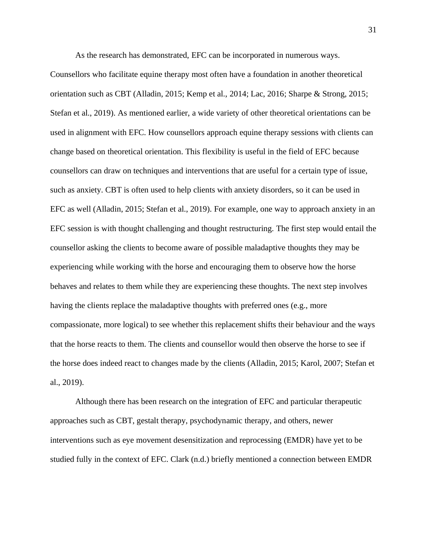As the research has demonstrated, EFC can be incorporated in numerous ways.

Counsellors who facilitate equine therapy most often have a foundation in another theoretical orientation such as CBT (Alladin, 2015; Kemp et al., 2014; Lac, 2016; Sharpe & Strong, 2015; Stefan et al., 2019). As mentioned earlier, a wide variety of other theoretical orientations can be used in alignment with EFC. How counsellors approach equine therapy sessions with clients can change based on theoretical orientation. This flexibility is useful in the field of EFC because counsellors can draw on techniques and interventions that are useful for a certain type of issue, such as anxiety. CBT is often used to help clients with anxiety disorders, so it can be used in EFC as well (Alladin, 2015; Stefan et al., 2019). For example, one way to approach anxiety in an EFC session is with thought challenging and thought restructuring. The first step would entail the counsellor asking the clients to become aware of possible maladaptive thoughts they may be experiencing while working with the horse and encouraging them to observe how the horse behaves and relates to them while they are experiencing these thoughts. The next step involves having the clients replace the maladaptive thoughts with preferred ones (e.g., more compassionate, more logical) to see whether this replacement shifts their behaviour and the ways that the horse reacts to them. The clients and counsellor would then observe the horse to see if the horse does indeed react to changes made by the clients (Alladin, 2015; Karol, 2007; Stefan et al., 2019).

Although there has been research on the integration of EFC and particular therapeutic approaches such as CBT, gestalt therapy, psychodynamic therapy, and others, newer interventions such as eye movement desensitization and reprocessing (EMDR) have yet to be studied fully in the context of EFC. Clark (n.d.) briefly mentioned a connection between EMDR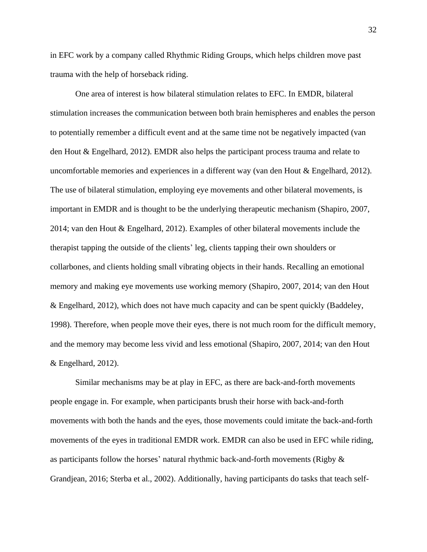in EFC work by a company called Rhythmic Riding Groups, which helps children move past trauma with the help of horseback riding.

One area of interest is how bilateral stimulation relates to EFC. In EMDR, bilateral stimulation increases the communication between both brain hemispheres and enables the person to potentially remember a difficult event and at the same time not be negatively impacted (van den Hout & Engelhard, 2012). EMDR also helps the participant process trauma and relate to uncomfortable memories and experiences in a different way (van den Hout & Engelhard, 2012). The use of bilateral stimulation, employing eye movements and other bilateral movements, is important in EMDR and is thought to be the underlying therapeutic mechanism (Shapiro, 2007, 2014; van den Hout & Engelhard, 2012). Examples of other bilateral movements include the therapist tapping the outside of the clients' leg, clients tapping their own shoulders or collarbones, and clients holding small vibrating objects in their hands. Recalling an emotional memory and making eye movements use working memory (Shapiro, 2007, 2014; van den Hout & Engelhard, 2012), which does not have much capacity and can be spent quickly (Baddeley, 1998). Therefore, when people move their eyes, there is not much room for the difficult memory, and the memory may become less vivid and less emotional (Shapiro, 2007, 2014; van den Hout & Engelhard, 2012).

Similar mechanisms may be at play in EFC, as there are back-and-forth movements people engage in. For example, when participants brush their horse with back-and-forth movements with both the hands and the eyes, those movements could imitate the back-and-forth movements of the eyes in traditional EMDR work. EMDR can also be used in EFC while riding, as participants follow the horses' natural rhythmic back-and-forth movements (Rigby & Grandjean, 2016; Sterba et al., 2002). Additionally, having participants do tasks that teach self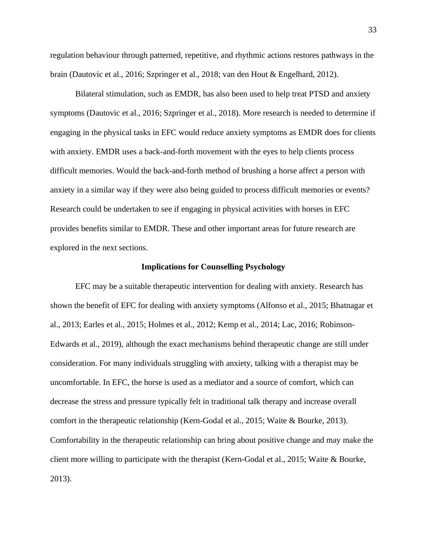regulation behaviour through patterned, repetitive, and rhythmic actions restores pathways in the brain (Dautovic et al., 2016; Szpringer et al., 2018; van den Hout & Engelhard, 2012).

Bilateral stimulation, such as EMDR, has also been used to help treat PTSD and anxiety symptoms (Dautovic et al., 2016; Szpringer et al., 2018). More research is needed to determine if engaging in the physical tasks in EFC would reduce anxiety symptoms as EMDR does for clients with anxiety. EMDR uses a back-and-forth movement with the eyes to help clients process difficult memories. Would the back-and-forth method of brushing a horse affect a person with anxiety in a similar way if they were also being guided to process difficult memories or events? Research could be undertaken to see if engaging in physical activities with horses in EFC provides benefits similar to EMDR. These and other important areas for future research are explored in the next sections.

#### **Implications for Counselling Psychology**

EFC may be a suitable therapeutic intervention for dealing with anxiety. Research has shown the benefit of EFC for dealing with anxiety symptoms (Alfonso et al., 2015; Bhatnagar et al., 2013; Earles et al., 2015; Holmes et al., 2012; Kemp et al., 2014; Lac, 2016; Robinson-Edwards et al., 2019), although the exact mechanisms behind therapeutic change are still under consideration. For many individuals struggling with anxiety, talking with a therapist may be uncomfortable. In EFC, the horse is used as a mediator and a source of comfort, which can decrease the stress and pressure typically felt in traditional talk therapy and increase overall comfort in the therapeutic relationship (Kern-Godal et al., 2015; Waite & Bourke, 2013). Comfortability in the therapeutic relationship can bring about positive change and may make the client more willing to participate with the therapist (Kern-Godal et al., 2015; Waite & Bourke, 2013).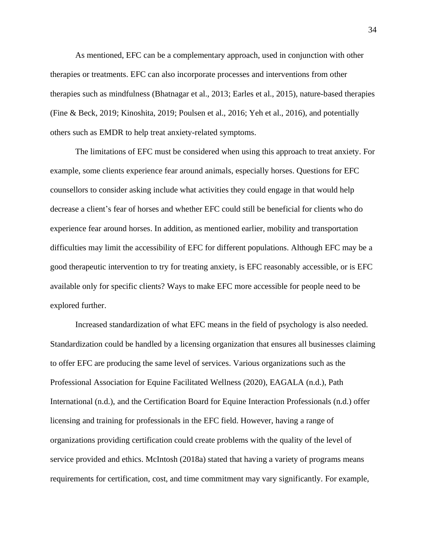As mentioned, EFC can be a complementary approach, used in conjunction with other therapies or treatments. EFC can also incorporate processes and interventions from other therapies such as mindfulness (Bhatnagar et al., 2013; Earles et al., 2015), nature-based therapies (Fine & Beck, 2019; Kinoshita, 2019; Poulsen et al., 2016; Yeh et al., 2016), and potentially others such as EMDR to help treat anxiety-related symptoms.

The limitations of EFC must be considered when using this approach to treat anxiety. For example, some clients experience fear around animals, especially horses. Questions for EFC counsellors to consider asking include what activities they could engage in that would help decrease a client's fear of horses and whether EFC could still be beneficial for clients who do experience fear around horses. In addition, as mentioned earlier, mobility and transportation difficulties may limit the accessibility of EFC for different populations. Although EFC may be a good therapeutic intervention to try for treating anxiety, is EFC reasonably accessible, or is EFC available only for specific clients? Ways to make EFC more accessible for people need to be explored further.

Increased standardization of what EFC means in the field of psychology is also needed. Standardization could be handled by a licensing organization that ensures all businesses claiming to offer EFC are producing the same level of services. Various organizations such as the Professional Association for Equine Facilitated Wellness (2020), EAGALA (n.d.), Path International (n.d.), and the Certification Board for Equine Interaction Professionals (n.d.) offer licensing and training for professionals in the EFC field. However, having a range of organizations providing certification could create problems with the quality of the level of service provided and ethics. McIntosh (2018a) stated that having a variety of programs means requirements for certification, cost, and time commitment may vary significantly. For example,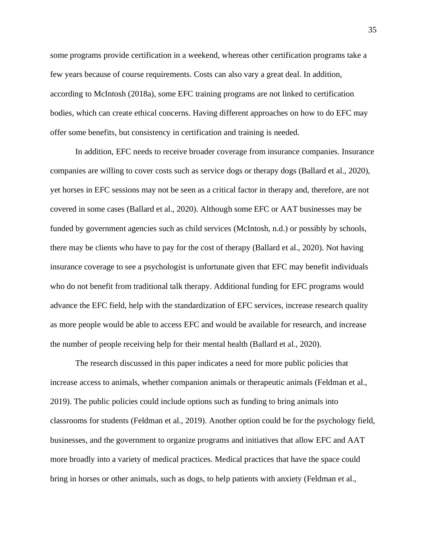some programs provide certification in a weekend, whereas other certification programs take a few years because of course requirements. Costs can also vary a great deal. In addition, according to McIntosh (2018a), some EFC training programs are not linked to certification bodies, which can create ethical concerns. Having different approaches on how to do EFC may offer some benefits, but consistency in certification and training is needed.

In addition, EFC needs to receive broader coverage from insurance companies. Insurance companies are willing to cover costs such as service dogs or therapy dogs (Ballard et al., 2020), yet horses in EFC sessions may not be seen as a critical factor in therapy and, therefore, are not covered in some cases (Ballard et al., 2020). Although some EFC or AAT businesses may be funded by government agencies such as child services (McIntosh, n.d.) or possibly by schools, there may be clients who have to pay for the cost of therapy (Ballard et al., 2020). Not having insurance coverage to see a psychologist is unfortunate given that EFC may benefit individuals who do not benefit from traditional talk therapy. Additional funding for EFC programs would advance the EFC field, help with the standardization of EFC services, increase research quality as more people would be able to access EFC and would be available for research, and increase the number of people receiving help for their mental health (Ballard et al., 2020).

The research discussed in this paper indicates a need for more public policies that increase access to animals, whether companion animals or therapeutic animals (Feldman et al., 2019). The public policies could include options such as funding to bring animals into classrooms for students (Feldman et al., 2019). Another option could be for the psychology field, businesses, and the government to organize programs and initiatives that allow EFC and AAT more broadly into a variety of medical practices. Medical practices that have the space could bring in horses or other animals, such as dogs, to help patients with anxiety (Feldman et al.,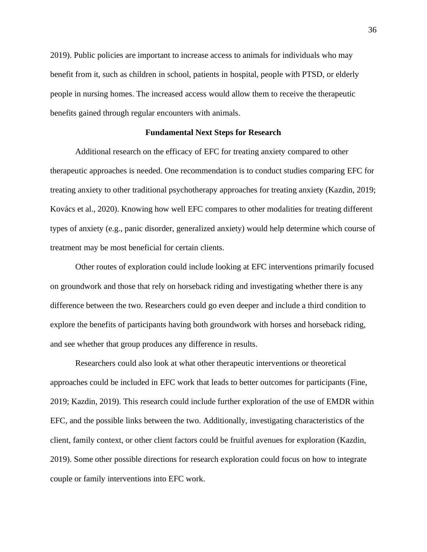2019). Public policies are important to increase access to animals for individuals who may benefit from it, such as children in school, patients in hospital, people with PTSD, or elderly people in nursing homes. The increased access would allow them to receive the therapeutic benefits gained through regular encounters with animals.

#### **Fundamental Next Steps for Research**

Additional research on the efficacy of EFC for treating anxiety compared to other therapeutic approaches is needed. One recommendation is to conduct studies comparing EFC for treating anxiety to other traditional psychotherapy approaches for treating anxiety (Kazdin, 2019; Kovács et al., 2020). Knowing how well EFC compares to other modalities for treating different types of anxiety (e.g., panic disorder, generalized anxiety) would help determine which course of treatment may be most beneficial for certain clients.

Other routes of exploration could include looking at EFC interventions primarily focused on groundwork and those that rely on horseback riding and investigating whether there is any difference between the two. Researchers could go even deeper and include a third condition to explore the benefits of participants having both groundwork with horses and horseback riding, and see whether that group produces any difference in results.

Researchers could also look at what other therapeutic interventions or theoretical approaches could be included in EFC work that leads to better outcomes for participants (Fine, 2019; Kazdin, 2019). This research could include further exploration of the use of EMDR within EFC, and the possible links between the two. Additionally, investigating characteristics of the client, family context, or other client factors could be fruitful avenues for exploration (Kazdin, 2019). Some other possible directions for research exploration could focus on how to integrate couple or family interventions into EFC work.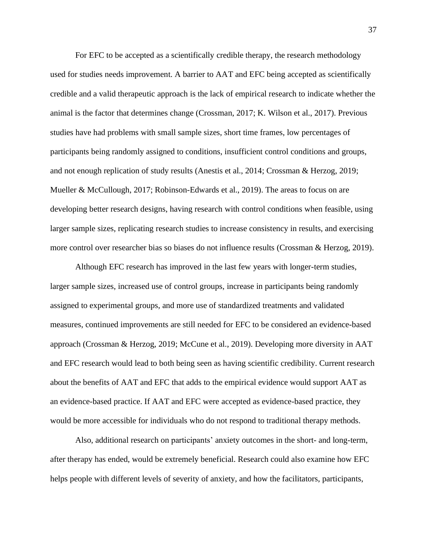For EFC to be accepted as a scientifically credible therapy, the research methodology used for studies needs improvement. A barrier to AAT and EFC being accepted as scientifically credible and a valid therapeutic approach is the lack of empirical research to indicate whether the animal is the factor that determines change (Crossman, 2017; K. Wilson et al., 2017). Previous studies have had problems with small sample sizes, short time frames, low percentages of participants being randomly assigned to conditions, insufficient control conditions and groups, and not enough replication of study results (Anestis et al., 2014; Crossman & Herzog, 2019; Mueller & McCullough, 2017; Robinson-Edwards et al., 2019). The areas to focus on are developing better research designs, having research with control conditions when feasible, using larger sample sizes, replicating research studies to increase consistency in results, and exercising more control over researcher bias so biases do not influence results (Crossman & Herzog, 2019).

Although EFC research has improved in the last few years with longer-term studies, larger sample sizes, increased use of control groups, increase in participants being randomly assigned to experimental groups, and more use of standardized treatments and validated measures, continued improvements are still needed for EFC to be considered an evidence-based approach (Crossman & Herzog, 2019; McCune et al., 2019). Developing more diversity in AAT and EFC research would lead to both being seen as having scientific credibility. Current research about the benefits of AAT and EFC that adds to the empirical evidence would support AAT as an evidence-based practice. If AAT and EFC were accepted as evidence-based practice, they would be more accessible for individuals who do not respond to traditional therapy methods.

Also, additional research on participants' anxiety outcomes in the short- and long-term, after therapy has ended, would be extremely beneficial. Research could also examine how EFC helps people with different levels of severity of anxiety, and how the facilitators, participants,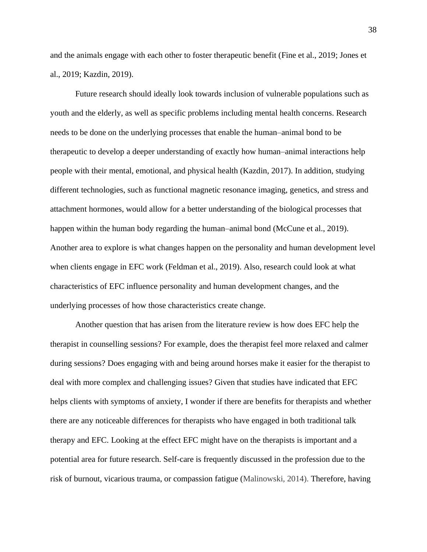and the animals engage with each other to foster therapeutic benefit (Fine et al., 2019; Jones et al., 2019; Kazdin, 2019).

Future research should ideally look towards inclusion of vulnerable populations such as youth and the elderly, as well as specific problems including mental health concerns. Research needs to be done on the underlying processes that enable the human–animal bond to be therapeutic to develop a deeper understanding of exactly how human–animal interactions help people with their mental, emotional, and physical health (Kazdin, 2017). In addition, studying different technologies, such as functional magnetic resonance imaging, genetics, and stress and attachment hormones, would allow for a better understanding of the biological processes that happen within the human body regarding the human–animal bond (McCune et al., 2019). Another area to explore is what changes happen on the personality and human development level when clients engage in EFC work (Feldman et al., 2019). Also, research could look at what characteristics of EFC influence personality and human development changes, and the underlying processes of how those characteristics create change.

Another question that has arisen from the literature review is how does EFC help the therapist in counselling sessions? For example, does the therapist feel more relaxed and calmer during sessions? Does engaging with and being around horses make it easier for the therapist to deal with more complex and challenging issues? Given that studies have indicated that EFC helps clients with symptoms of anxiety, I wonder if there are benefits for therapists and whether there are any noticeable differences for therapists who have engaged in both traditional talk therapy and EFC. Looking at the effect EFC might have on the therapists is important and a potential area for future research. Self-care is frequently discussed in the profession due to the risk of burnout, vicarious trauma, or compassion fatigue (Malinowski, 2014). Therefore, having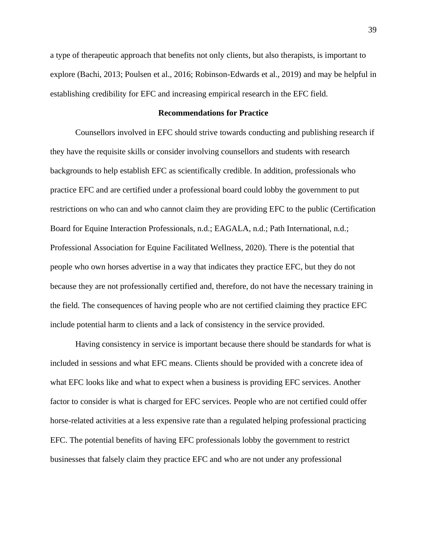a type of therapeutic approach that benefits not only clients, but also therapists, is important to explore (Bachi, 2013; Poulsen et al., 2016; Robinson-Edwards et al., 2019) and may be helpful in establishing credibility for EFC and increasing empirical research in the EFC field.

## **Recommendations for Practice**

Counsellors involved in EFC should strive towards conducting and publishing research if they have the requisite skills or consider involving counsellors and students with research backgrounds to help establish EFC as scientifically credible. In addition, professionals who practice EFC and are certified under a professional board could lobby the government to put restrictions on who can and who cannot claim they are providing EFC to the public (Certification Board for Equine Interaction Professionals, n.d.; EAGALA, n.d.; Path International, n.d.; Professional Association for Equine Facilitated Wellness, 2020). There is the potential that people who own horses advertise in a way that indicates they practice EFC, but they do not because they are not professionally certified and, therefore, do not have the necessary training in the field. The consequences of having people who are not certified claiming they practice EFC include potential harm to clients and a lack of consistency in the service provided.

Having consistency in service is important because there should be standards for what is included in sessions and what EFC means. Clients should be provided with a concrete idea of what EFC looks like and what to expect when a business is providing EFC services. Another factor to consider is what is charged for EFC services. People who are not certified could offer horse-related activities at a less expensive rate than a regulated helping professional practicing EFC. The potential benefits of having EFC professionals lobby the government to restrict businesses that falsely claim they practice EFC and who are not under any professional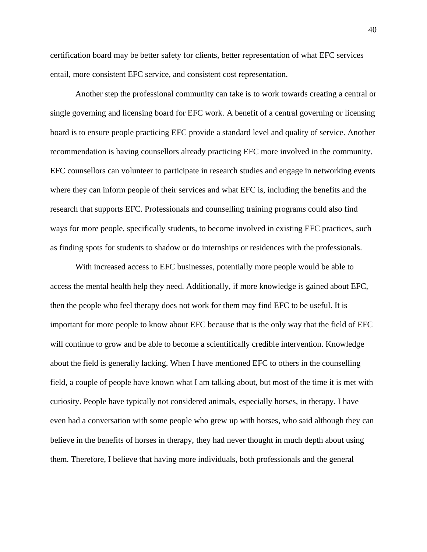certification board may be better safety for clients, better representation of what EFC services entail, more consistent EFC service, and consistent cost representation.

Another step the professional community can take is to work towards creating a central or single governing and licensing board for EFC work. A benefit of a central governing or licensing board is to ensure people practicing EFC provide a standard level and quality of service. Another recommendation is having counsellors already practicing EFC more involved in the community. EFC counsellors can volunteer to participate in research studies and engage in networking events where they can inform people of their services and what EFC is, including the benefits and the research that supports EFC. Professionals and counselling training programs could also find ways for more people, specifically students, to become involved in existing EFC practices, such as finding spots for students to shadow or do internships or residences with the professionals.

With increased access to EFC businesses, potentially more people would be able to access the mental health help they need. Additionally, if more knowledge is gained about EFC, then the people who feel therapy does not work for them may find EFC to be useful. It is important for more people to know about EFC because that is the only way that the field of EFC will continue to grow and be able to become a scientifically credible intervention. Knowledge about the field is generally lacking. When I have mentioned EFC to others in the counselling field, a couple of people have known what I am talking about, but most of the time it is met with curiosity. People have typically not considered animals, especially horses, in therapy. I have even had a conversation with some people who grew up with horses, who said although they can believe in the benefits of horses in therapy, they had never thought in much depth about using them. Therefore, I believe that having more individuals, both professionals and the general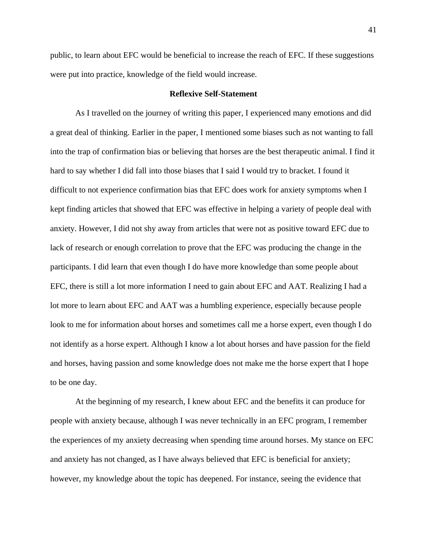public, to learn about EFC would be beneficial to increase the reach of EFC. If these suggestions were put into practice, knowledge of the field would increase.

## **Reflexive Self-Statement**

As I travelled on the journey of writing this paper, I experienced many emotions and did a great deal of thinking. Earlier in the paper, I mentioned some biases such as not wanting to fall into the trap of confirmation bias or believing that horses are the best therapeutic animal. I find it hard to say whether I did fall into those biases that I said I would try to bracket. I found it difficult to not experience confirmation bias that EFC does work for anxiety symptoms when I kept finding articles that showed that EFC was effective in helping a variety of people deal with anxiety. However, I did not shy away from articles that were not as positive toward EFC due to lack of research or enough correlation to prove that the EFC was producing the change in the participants. I did learn that even though I do have more knowledge than some people about EFC, there is still a lot more information I need to gain about EFC and AAT. Realizing I had a lot more to learn about EFC and AAT was a humbling experience, especially because people look to me for information about horses and sometimes call me a horse expert, even though I do not identify as a horse expert. Although I know a lot about horses and have passion for the field and horses, having passion and some knowledge does not make me the horse expert that I hope to be one day.

At the beginning of my research, I knew about EFC and the benefits it can produce for people with anxiety because, although I was never technically in an EFC program, I remember the experiences of my anxiety decreasing when spending time around horses. My stance on EFC and anxiety has not changed, as I have always believed that EFC is beneficial for anxiety; however, my knowledge about the topic has deepened. For instance, seeing the evidence that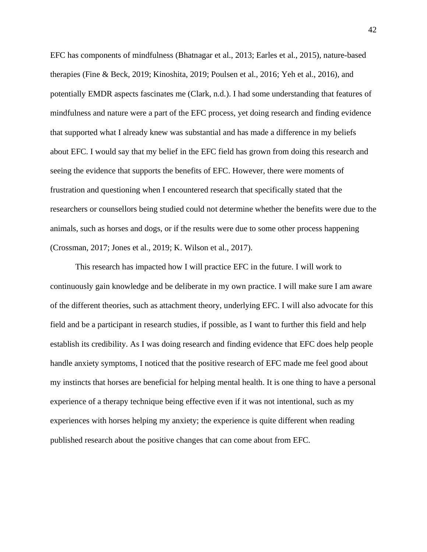EFC has components of mindfulness (Bhatnagar et al., 2013; Earles et al., 2015), nature-based therapies (Fine & Beck, 2019; Kinoshita, 2019; Poulsen et al., 2016; Yeh et al., 2016), and potentially EMDR aspects fascinates me (Clark, n.d.). I had some understanding that features of mindfulness and nature were a part of the EFC process, yet doing research and finding evidence that supported what I already knew was substantial and has made a difference in my beliefs about EFC. I would say that my belief in the EFC field has grown from doing this research and seeing the evidence that supports the benefits of EFC. However, there were moments of frustration and questioning when I encountered research that specifically stated that the researchers or counsellors being studied could not determine whether the benefits were due to the animals, such as horses and dogs, or if the results were due to some other process happening (Crossman, 2017; Jones et al., 2019; K. Wilson et al., 2017).

This research has impacted how I will practice EFC in the future. I will work to continuously gain knowledge and be deliberate in my own practice. I will make sure I am aware of the different theories, such as attachment theory, underlying EFC. I will also advocate for this field and be a participant in research studies, if possible, as I want to further this field and help establish its credibility. As I was doing research and finding evidence that EFC does help people handle anxiety symptoms, I noticed that the positive research of EFC made me feel good about my instincts that horses are beneficial for helping mental health. It is one thing to have a personal experience of a therapy technique being effective even if it was not intentional, such as my experiences with horses helping my anxiety; the experience is quite different when reading published research about the positive changes that can come about from EFC.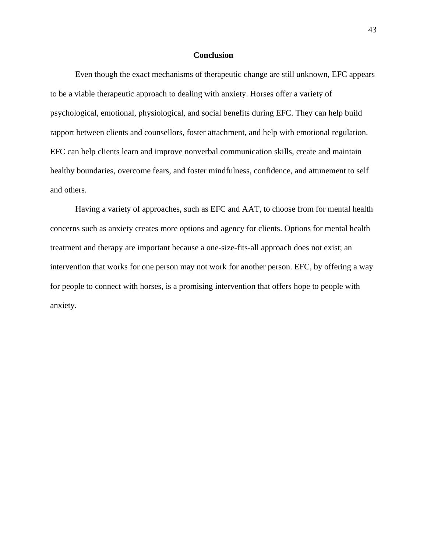# **Conclusion**

Even though the exact mechanisms of therapeutic change are still unknown, EFC appears to be a viable therapeutic approach to dealing with anxiety. Horses offer a variety of psychological, emotional, physiological, and social benefits during EFC. They can help build rapport between clients and counsellors, foster attachment, and help with emotional regulation. EFC can help clients learn and improve nonverbal communication skills, create and maintain healthy boundaries, overcome fears, and foster mindfulness, confidence, and attunement to self and others.

Having a variety of approaches, such as EFC and AAT, to choose from for mental health concerns such as anxiety creates more options and agency for clients. Options for mental health treatment and therapy are important because a one-size-fits-all approach does not exist; an intervention that works for one person may not work for another person. EFC, by offering a way for people to connect with horses, is a promising intervention that offers hope to people with anxiety.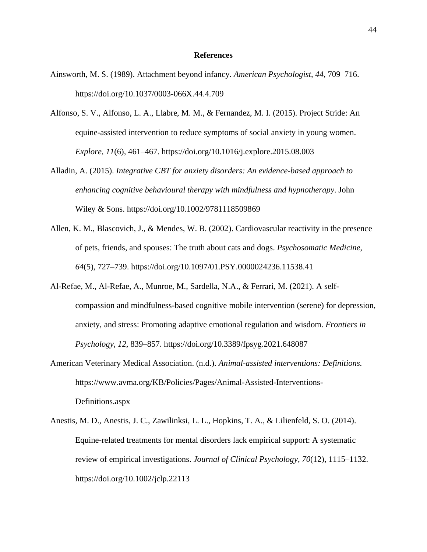#### **References**

- Ainsworth, M. S. (1989). Attachment beyond infancy*. American Psychologist*, *44*, 709–716. <https://doi.org/10.1037/0003-066X.44.4.709>
- Alfonso, S. V., Alfonso, L. A., Llabre, M. M., & Fernandez, M. I. (2015). Project Stride: An equine-assisted intervention to reduce symptoms of social anxiety in young women. *Explore*, *11*(6), 461–467. <https://doi.org/10.1016/j.explore.2015.08.003>
- Alladin, A. (2015). *Integrative CBT for anxiety disorders: An evidence-based approach to enhancing cognitive behavioural therapy with mindfulness and hypnotherapy*. John Wiley & Sons. <https://doi.org/10.1002/9781118509869>
- Allen, K. M., Blascovich, J., & Mendes, W. B. (2002). Cardiovascular reactivity in the presence of pets, friends, and spouses: The truth about cats and dogs. *Psychosomatic Medicine*, *64*(5), 727–739. <https://doi.org/10.1097/01.PSY.0000024236.11538.41>
- Al-Refae, M., Al-Refae, A., Munroe, M., Sardella, N.A., & Ferrari, M. (2021). A selfcompassion and mindfulness-based cognitive mobile intervention (serene) for depression, anxiety, and stress: Promoting adaptive emotional regulation and wisdom. *Frontiers in Psychology*, *12*, 839–857. <https://doi.org/10.3389/fpsyg.2021.648087>
- American Veterinary Medical Association. (n.d.). *Animal-assisted interventions: Definitions.* [https://www.avma.org/KB/Policies/Pages/Animal-Assisted-Interventions-](https://www.avma.org/KB/Policies/Pages/Animal-Assisted-Interventions-Definitions.aspx)[Definitions.aspx](https://www.avma.org/KB/Policies/Pages/Animal-Assisted-Interventions-Definitions.aspx)
- Anestis, M. D., Anestis, J. C., Zawilinksi, L. L., Hopkins, T. A., & Lilienfeld, S. O. (2014). Equine-related treatments for mental disorders lack empirical support: A systematic review of empirical investigations. *Journal of Clinical Psychology*, *70*(12), 1115–1132. <https://doi.org/10.1002/jclp.22113>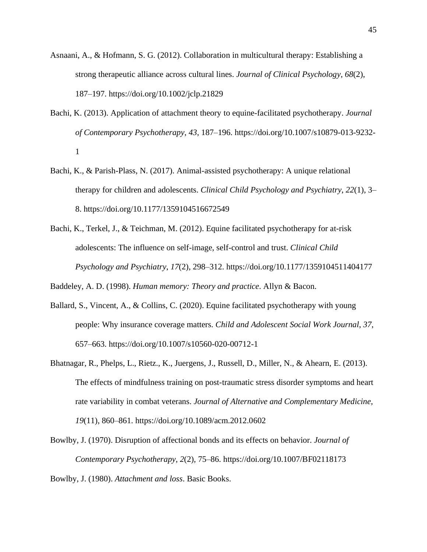- Asnaani, A., & Hofmann, S. G. (2012). Collaboration in multicultural therapy: Establishing a strong therapeutic alliance across cultural lines. *Journal of Clinical Psychology*, *68*(2), 187–197. <https://doi.org/10.1002/jclp.21829>
- Bachi, K. (2013). Application of attachment theory to equine-facilitated psychotherapy. *Journal of Contemporary Psychotherapy*, *43*, 187–196. [https://doi.org/10.1007/s10879-013-9232-](https://doi.org/10.1007/s10879-013-9232-1) [1](https://doi.org/10.1007/s10879-013-9232-1)
- Bachi, K., & Parish-Plass, N. (2017). Animal-assisted psychotherapy: A unique relational therapy for children and adolescents. *Clinical Child Psychology and Psychiatry*, *22*(1), 3– 8. [https://doi.org/10.1177/1359104516672549](https://doi.org/10.1177%2F1359104516672549)
- Bachi, K., Terkel, J., & Teichman, M. (2012). Equine facilitated psychotherapy for at-risk adolescents: The influence on self-image, self-control and trust. *Clinical Child Psychology and Psychiatry*, *17*(2), 298–312. [https://doi.org/10.1177/1359104511404177](https://doi.org/10.1177%2F1359104511404177)

Baddeley, A. D. (1998). *Human memory: Theory and practice*. Allyn & Bacon.

- Ballard, S., Vincent, A., & Collins, C. (2020). Equine facilitated psychotherapy with young people: Why insurance coverage matters. *Child and Adolescent Social Work Journal*, *37*, 657–663. <https://doi.org/10.1007/s10560-020-00712-1>
- Bhatnagar, R., Phelps, L., Rietz., K., Juergens, J., Russell, D., Miller, N., & Ahearn, E. (2013). The effects of mindfulness training on post-traumatic stress disorder symptoms and heart rate variability in combat veterans. *Journal of Alternative and Complementary Medicine*, *19*(11), 860–861. <https://doi.org/10.1089/acm.2012.0602>
- Bowlby, J. (1970). Disruption of affectional bonds and its effects on behavior. *Journal of Contemporary Psychotherapy*, *2*(2), 75–86. <https://doi.org/10.1007/BF02118173>

Bowlby, J. (1980). *Attachment and loss*. Basic Books.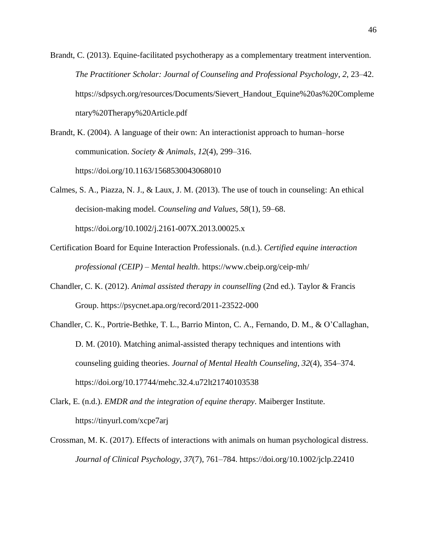Brandt, C. (2013). Equine-facilitated psychotherapy as a complementary treatment intervention. *The Practitioner Scholar: Journal of Counseling and Professional Psychology*, *2*, 23–42. [https://sdpsych.org/resources/Documents/Sievert\\_Handout\\_Equine%20as%20Compleme](https://sdpsych.org/resources/Documents/Sievert_Handout_Equine%20as%20Complementary%20Therapy%20Article.pdf) [ntary%20Therapy%20Article.pdf](https://sdpsych.org/resources/Documents/Sievert_Handout_Equine%20as%20Complementary%20Therapy%20Article.pdf)

Brandt, K. (2004). A language of their own: An interactionist approach to human–horse communication. *Society & Animals*, *12*(4), 299–316. <https://doi.org/10.1163/1568530043068010>

Calmes, S. A., Piazza, N. J., & Laux, J. M. (2013). The use of touch in counseling: An ethical decision-making model. *Counseling and Values*, *58*(1), 59–68. <https://doi.org/10.1002/j.2161-007X.2013.00025.x>

Certification Board for Equine Interaction Professionals. (n.d.). *Certified equine interaction professional (CEIP) – Mental health*. <https://www.cbeip.org/ceip-mh/>

Chandler, C. K. (2012). *Animal assisted therapy in counselling* (2nd ed.). Taylor & Francis Group. <https://psycnet.apa.org/record/2011-23522-000>

Chandler, C. K., Portrie-Bethke, T. L., Barrio Minton, C. A., Fernando, D. M., & O'Callaghan, D. M. (2010). Matching animal-assisted therapy techniques and intentions with counseling guiding theories. *Journal of Mental Health Counseling*, *32*(4), 354–374. <https://doi.org/10.17744/mehc.32.4.u72lt21740103538>

Clark, E. (n.d.). *EMDR and the integration of equine therapy*. Maiberger Institute. [https://tinyurl.com/xcpe7arj](https://maibergerinstitute.com/emdr-and-the-integration-of-equine-therapy/?__cf_chl_captcha_tk__=cb7469117f3378f87071b77182b2fc5b9a811719-1620161402-0-AcCiS0_yvoSZwyLXAsXPLdEg4lKBuoGm0HmTc4f_qLnHyoPGc6U2_g5Xc5QyqSrzydTzMYnyvMhjZHPeSnDmJmgC6ZcOYpQu0ktAZmZA3Jb04Xs1K1WS8tWXSv6ESO5eZSUJlksy0hAIbmoJ9t0sTG2tQzd47PZwB2-ac0W2oQKxVOEkYhiU_VWMPKYnuZnA0qRqAFP3xaWYDDNQcoiH2z-HUpLs34G1HnX5-TsTc_SPjHa-PGP4eCAjyF5i-KNKfrCxBL5_xtFE3eHPxZ-FVjqRuA287YmywbHhtLPoL1oTERyeufTlJHAi46o2kuLkM0fMbFXZskI9QZvTUaiStXALij59aO0Oy4_BBnt7s5Q9t6Pr47u08lsHTa_n6PYg_HyDc4IkHqrEPHbtAsunDCaNNVGFHWYy-gae3lbEQbByJPoCGlYcwtOkmRMzEFt-Fko5gwc7XHiRGE3YYe7yg9a0eMILcGU6hIGKbOCu7GnvO62j6iw8RgPv5CvcSHHXf_lLPNY5mmwXJUL1WzhxlzDn0gnoYR570rupZzqB3pZfmR2NKVlMzL4cp7WIkf3qZhRlleKK6rcixqZueWpkXNIe66vaZeF9z1Grh2XC8oNogd-plostnu1tBak5mYQd3qMqAsWZn6ap0FIUM-PzRHI7FMRjuRlaP-iiv8RHdFdY)

Crossman, M. K. (2017). Effects of interactions with animals on human psychological distress. *Journal of Clinical Psychology*, *37*(7), 761–784. <https://doi.org/10.1002/jclp.22410>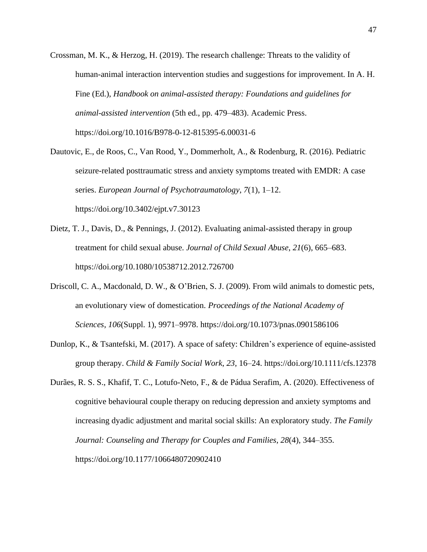- Crossman, M. K., & Herzog, H. (2019). The research challenge: Threats to the validity of human-animal interaction intervention studies and suggestions for improvement. In A. H. Fine (Ed.), *Handbook on animal-assisted therapy: Foundations and guidelines for animal-assisted intervention* (5th ed., pp. 479–483). Academic Press. <https://doi.org/10.1016/B978-0-12-815395-6.00031-6>
- Dautovic, E., de Roos, C., Van Rood, Y., Dommerholt, A., & Rodenburg, R. (2016). Pediatric seizure-related posttraumatic stress and anxiety symptoms treated with EMDR: A case series. *European Journal of Psychotraumatology*, *7*(1), 1–12. <https://doi.org/10.3402/ejpt.v7.30123>
- Dietz, T. J., Davis, D., & Pennings, J. (2012). Evaluating animal-assisted therapy in group treatment for child sexual abuse. *Journal of Child Sexual Abuse*, *21*(6), 665–683. <https://doi.org/10.1080/10538712.2012.726700>
- Driscoll, C. A., Macdonald, D. W., & O'Brien, S. J. (2009). From wild animals to domestic pets, an evolutionary view of domestication. *Proceedings of the National Academy of Sciences*, *106*(Suppl. 1), 9971–9978. <https://doi.org/10.1073/pnas.0901586106>
- Dunlop, K., & Tsantefski, M. (2017). A space of safety: Children's experience of equine-assisted group therapy. *Child & Family Social Work*, *23*, 16–24. <https://doi.org/10.1111/cfs.12378>
- Durães, R. S. S., Khafif, T. C., Lotufo-Neto, F., & de Pádua Serafim, A. (2020). Effectiveness of cognitive behavioural couple therapy on reducing depression and anxiety symptoms and increasing dyadic adjustment and marital social skills: An exploratory study. *The Family Journal: Counseling and Therapy for Couples and Families*, *28*(4), 344–355. <https://doi.org/10.1177/1066480720902410>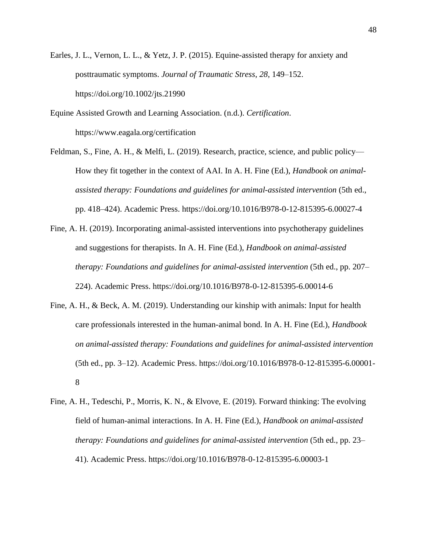Earles, J. L., Vernon, L. L., & Yetz, J. P. (2015). Equine-assisted therapy for anxiety and posttraumatic symptoms. *Journal of Traumatic Stress*, *28*, 149–152. <https://doi.org/10.1002/jts.21990>

Equine Assisted Growth and Learning Association. (n.d.). *Certification*. <https://www.eagala.org/certification>

Feldman, S., Fine, A. H., & Melfi, L. (2019). Research, practice, science, and public policy— How they fit together in the context of AAI. In A. H. Fine (Ed.), *Handbook on animalassisted therapy: Foundations and guidelines for animal-assisted intervention* (5th ed., pp. 418–424). Academic Press. <https://doi.org/10.1016/B978-0-12-815395-6.00027-4>

Fine, A. H. (2019). Incorporating animal-assisted interventions into psychotherapy guidelines and suggestions for therapists. In A. H. Fine (Ed.), *Handbook on animal-assisted therapy: Foundations and guidelines for animal-assisted intervention* (5th ed., pp. 207– 224). Academic Press. <https://doi.org/10.1016/B978-0-12-815395-6.00014-6>

- Fine, A. H., & Beck, A. M. (2019). Understanding our kinship with animals: Input for health care professionals interested in the human-animal bond. In A. H. Fine (Ed.), *Handbook on animal-assisted therapy: Foundations and guidelines for animal-assisted intervention* (5th ed., pp. 3–12). Academic Press. [https://doi.org/10.1016/B978-0-12-815395-6.00001-](https://doi.org/10.1016/B978-0-12-815395-6.00001-8) [8](https://doi.org/10.1016/B978-0-12-815395-6.00001-8)
- Fine, A. H., Tedeschi, P., Morris, K. N., & Elvove, E. (2019). Forward thinking: The evolving field of human-animal interactions. In A. H. Fine (Ed.), *Handbook on animal-assisted therapy: Foundations and guidelines for animal-assisted intervention* (5th ed., pp. 23– 41). Academic Press. <https://doi.org/10.1016/B978-0-12-815395-6.00003-1>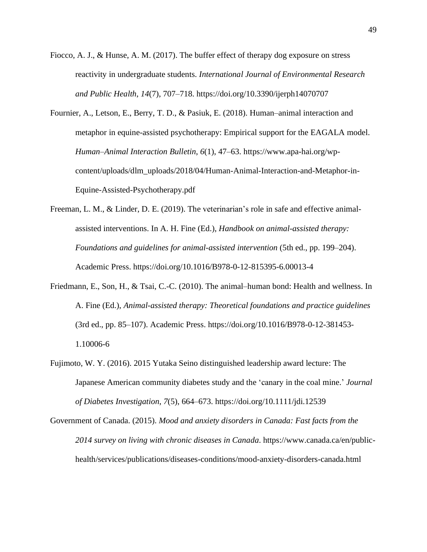- Fiocco, A. J., & Hunse, A. M. (2017). The buffer effect of therapy dog exposure on stress reactivity in undergraduate students. *International Journal of Environmental Research and Public Health*, *14*(7), 707–718. <https://doi.org/10.3390/ijerph14070707>
- Fournier, A., Letson, E., Berry, T. D., & Pasiuk, E. (2018). Human–animal interaction and metaphor in equine-assisted psychotherapy: Empirical support for the EAGALA model. *Human–Animal Interaction Bulletin*, *6*(1), 47–63. [https://www.apa-hai.org/wp](https://www.apa-hai.org/wp-content/uploads/dlm_uploads/2018/04/Human-Animal-Interaction-and-Metaphor-in-Equine-Assisted-Psychotherapy.pdf)[content/uploads/dlm\\_uploads/2018/04/Human-Animal-Interaction-and-Metaphor-in-](https://www.apa-hai.org/wp-content/uploads/dlm_uploads/2018/04/Human-Animal-Interaction-and-Metaphor-in-Equine-Assisted-Psychotherapy.pdf)[Equine-Assisted-Psychotherapy.pdf](https://www.apa-hai.org/wp-content/uploads/dlm_uploads/2018/04/Human-Animal-Interaction-and-Metaphor-in-Equine-Assisted-Psychotherapy.pdf)
- Freeman, L. M., & Linder, D. E. (2019). The veterinarian's role in safe and effective animalassisted interventions. In A. H. Fine (Ed.), *Handbook on animal-assisted therapy: Foundations and guidelines for animal-assisted intervention* (5th ed., pp. 199–204). Academic Press. https://doi.org/10.1016/B978-0-12-815395-6.00013-4
- Friedmann, E., Son, H., & Tsai, C.-C. (2010). The animal–human bond: Health and wellness. In A. Fine (Ed.), *Animal-assisted therapy: Theoretical foundations and practice guidelines* (3rd ed., pp. 85–107). Academic Press. [https://doi.org/10.1016/B978-0-12-381453-](https://psycnet.apa.org/doi/10.1016/B978-0-12-381453-1.10006-6) [1.10006-6](https://psycnet.apa.org/doi/10.1016/B978-0-12-381453-1.10006-6)
- Fujimoto, W. Y. (2016). 2015 Yutaka Seino distinguished leadership award lecture: The Japanese American community diabetes study and the 'canary in the coal mine.' *Journal of Diabetes Investigation*, *7*(5), 664–673. <https://doi.org/10.1111/jdi.12539>
- Government of Canada. (2015). *Mood and anxiety disorders in Canada: Fast facts from the 2014 survey on living with chronic diseases in Canada*. [https://www.canada.ca/en/public](https://www.canada.ca/en/public-health/services/publications/diseases-conditions/mood-anxiety-disorders-canada.html)[health/services/publications/diseases-conditions/mood-anxiety-disorders-canada.html](https://www.canada.ca/en/public-health/services/publications/diseases-conditions/mood-anxiety-disorders-canada.html)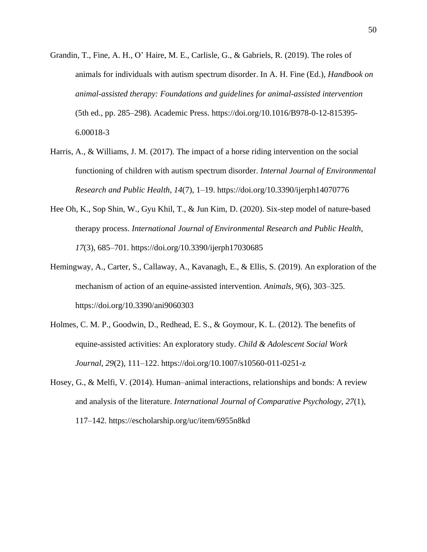- Grandin, T., Fine, A. H., O' Haire, M. E., Carlisle, G., & Gabriels, R. (2019). The roles of animals for individuals with autism spectrum disorder. In A. H. Fine (Ed.), *Handbook on animal-assisted therapy: Foundations and guidelines for animal-assisted intervention* (5th ed., pp. 285–298). Academic Press. [https://doi.org/10.1016/B978-0-12-815395-](https://doi.org/10.1016/B978-0-12-815395-6.00018-3) [6.00018-3](https://doi.org/10.1016/B978-0-12-815395-6.00018-3)
- Harris, A., & Williams, J. M. (2017). The impact of a horse riding intervention on the social functioning of children with autism spectrum disorder. *Internal Journal of Environmental Research and Public Health*, *14*(7), 1–19. <https://doi.org/10.3390/ijerph14070776>
- Hee Oh, K., Sop Shin, W., Gyu Khil, T., & Jun Kim, D. (2020). Six-step model of nature-based therapy process. *International Journal of Environmental Research and Public Health*, *17*(3), 685–701. <https://doi.org/10.3390/ijerph17030685>
- Hemingway, A., Carter, S., Callaway, A., Kavanagh, E., & Ellis, S. (2019). An exploration of the mechanism of action of an equine-assisted intervention. *Animals*, *9*(6), 303–325. <https://doi.org/10.3390/ani9060303>
- Holmes, C. M. P., Goodwin, D., Redhead, E. S., & Goymour, K. L. (2012). The benefits of equine-assisted activities: An exploratory study. *Child & Adolescent Social Work Journal*, *29*(2), 111–122. <https://doi.org/10.1007/s10560-011-0251-z>
- Hosey, G., & Melfi, V. (2014). Human–animal interactions, relationships and bonds: A review and analysis of the literature. *International Journal of Comparative Psychology*, *27*(1), 117–142. <https://escholarship.org/uc/item/6955n8kd>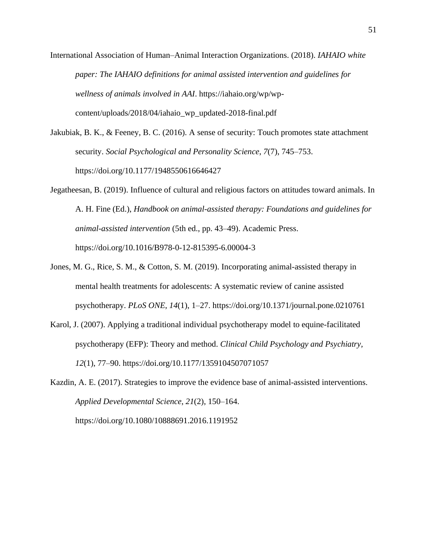- International Association of Human–Animal Interaction Organizations. (2018). *IAHAIO white paper: The IAHAIO definitions for animal assisted intervention and guidelines for wellness of animals involved in AAI*. https://iahaio.org/wp/wpcontent/uploads/2018/04/iahaio\_wp\_updated-2018-final.pdf
- Jakubiak, B. K., & Feeney, B. C. (2016). A sense of security: Touch promotes state attachment security. *Social Psychological and Personality Science*, *7*(7), 745–753. <https://doi.org/10.1177/1948550616646427>
- Jegatheesan, B. (2019). Influence of cultural and religious factors on attitudes toward animals. In A. H. Fine (Ed.), *Handbook on animal-assisted therapy: Foundations and guidelines for animal-assisted intervention* (5th ed., pp. 43–49). Academic Press. <https://doi.org/10.1016/B978-0-12-815395-6.00004-3>
- Jones, M. G., Rice, S. M., & Cotton, S. M. (2019). Incorporating animal-assisted therapy in mental health treatments for adolescents: A systematic review of canine assisted psychotherapy. *PLoS ONE*, *14*(1), 1–27. <https://doi.org/10.1371/journal.pone.0210761>
- Karol, J. (2007). Applying a traditional individual psychotherapy model to equine-facilitated psychotherapy (EFP): Theory and method. *Clinical Child Psychology and Psychiatry, 12*(1), 77–90.<https://doi.org/10.1177/1359104507071057>
- Kazdin, A. E. (2017). Strategies to improve the evidence base of animal-assisted interventions. *Applied Developmental Science*, *21*(2), 150–164. <https://doi.org/10.1080/10888691.2016.1191952>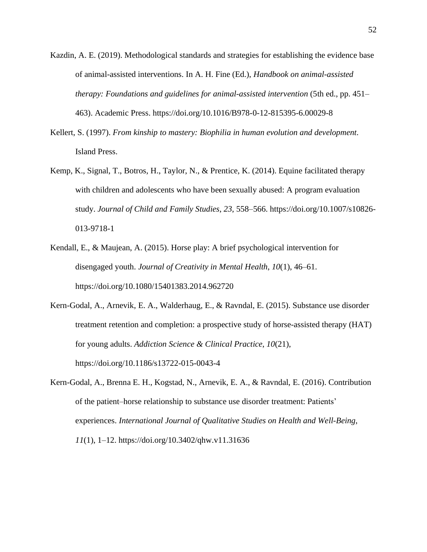- Kazdin, A. E. (2019). Methodological standards and strategies for establishing the evidence base of animal-assisted interventions. In A. H. Fine (Ed.), *Handbook on animal-assisted therapy: Foundations and guidelines for animal-assisted intervention* (5th ed., pp. 451– 463). Academic Press. <https://doi.org/10.1016/B978-0-12-815395-6.00029-8>
- Kellert, S. (1997). *From kinship to mastery: Biophilia in human evolution and development*. Island Press.
- Kemp, K., Signal, T., Botros, H., Taylor, N., & Prentice, K. (2014). Equine facilitated therapy with children and adolescents who have been sexually abused: A program evaluation study. *Journal of Child and Family Studies*, *23*, 558–566. [https://doi.org/10.1007/s10826-](https://doi.org/10.1007/s10826-013-9718-1) [013-9718-1](https://doi.org/10.1007/s10826-013-9718-1)
- Kendall, E., & Maujean, A. (2015). Horse play: A brief psychological intervention for disengaged youth. *Journal of Creativity in Mental Health*, *10*(1), 46–61. <https://doi.org/10.1080/15401383.2014.962720>
- Kern-Godal, A., Arnevik, E. A., Walderhaug, E., & Ravndal, E. (2015). Substance use disorder treatment retention and completion: a prospective study of horse-assisted therapy (HAT) for young adults. *Addiction Science & Clinical Practice*, *10*(21), <https://doi.org/10.1186/s13722-015-0043-4>
- Kern-Godal, A., Brenna E. H., Kogstad, N., Arnevik, E. A., & Ravndal, E. (2016). Contribution of the patient–horse relationship to substance use disorder treatment: Patients' experiences. *International Journal of Qualitative Studies on Health and Well-Being*, *11*(1), 1–12. <https://doi.org/10.3402/qhw.v11.31636>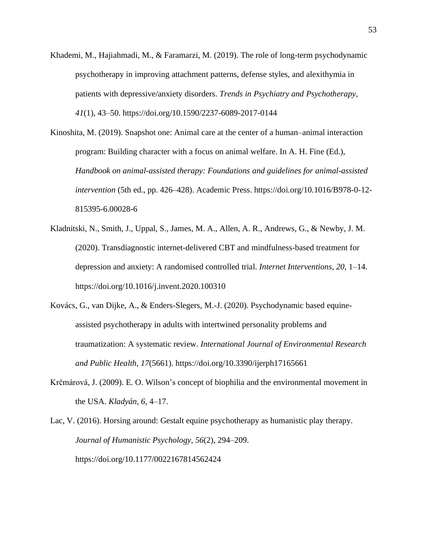- Khademi, M., Hajiahmadi, M., & Faramarzi, M. (2019). The role of long-term psychodynamic psychotherapy in improving attachment patterns, defense styles, and alexithymia in patients with depressive/anxiety disorders. *Trends in Psychiatry and Psychotherapy*, *41*(1), 43–50. <https://doi.org/10.1590/2237-6089-2017-0144>
- Kinoshita, M. (2019). Snapshot one: Animal care at the center of a human–animal interaction program: Building character with a focus on animal welfare. In A. H. Fine (Ed.), *Handbook on animal-assisted therapy: Foundations and guidelines for animal-assisted intervention* (5th ed., pp. 426–428). Academic Press. [https://doi.org/10.1016/B978-0-12-](https://doi.org/10.1016/B978-0-12-815395-6.00028-6) [815395-6.00028-6](https://doi.org/10.1016/B978-0-12-815395-6.00028-6)
- Kladnitski, N., Smith, J., Uppal, S., James, M. A., Allen, A. R., Andrews, G., & Newby, J. M. (2020). Transdiagnostic internet-delivered CBT and mindfulness-based treatment for depression and anxiety: A randomised controlled trial. *Internet Interventions*, *20*, 1–14. <https://doi.org/10.1016/j.invent.2020.100310>
- Kovács, G., van Dijke, A., & Enders-Slegers, M.-J. (2020). Psychodynamic based equineassisted psychotherapy in adults with intertwined personality problems and traumatization: A systematic review. *International Journal of Environmental Research and Public Health*, *17*(5661). <https://doi.org/10.3390/ijerph17165661>
- Krčmárová, J. (2009). E. O. Wilson's concept of biophilia and the environmental movement in the USA. *Kladyán*, *6*, 4–17.

Lac, V. (2016). Horsing around: Gestalt equine psychotherapy as humanistic play therapy. *Journal of Humanistic Psychology*, *56*(2), 294–209. <https://doi.org/10.1177/0022167814562424>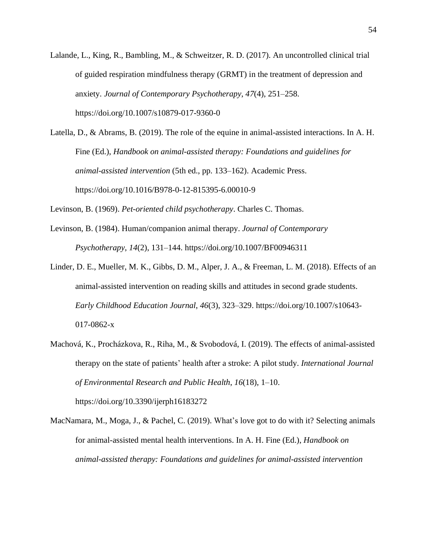Lalande, L., King, R., Bambling, M., & Schweitzer, R. D. (2017). An uncontrolled clinical trial of guided respiration mindfulness therapy (GRMT) in the treatment of depression and anxiety. *Journal of Contemporary Psychotherapy*, *47*(4), 251–258. <https://doi.org/10.1007/s10879-017-9360-0>

Latella, D., & Abrams, B. (2019). The role of the equine in animal-assisted interactions. In A. H. Fine (Ed.), *Handbook on animal-assisted therapy: Foundations and guidelines for animal-assisted intervention* (5th ed., pp. 133–162). Academic Press. <https://doi.org/10.1016/B978-0-12-815395-6.00010-9>

Levinson, B. (1969). *Pet-oriented child psychotherapy*. Charles C. Thomas.

- Levinson, B. (1984). Human/companion animal therapy. *Journal of Contemporary Psychotherapy*, *14*(2), 131–144. <https://doi.org/10.1007/BF00946311>
- Linder, D. E., Mueller, M. K., Gibbs, D. M., Alper, J. A., & Freeman, L. M. (2018). Effects of an animal-assisted intervention on reading skills and attitudes in second grade students. *Early Childhood Education Journal*, *46*(3), 323–329. [https://doi.org/10.1007/s10643-](https://doi.org/10.1007/s10643-017-0862-x) [017-0862-x](https://doi.org/10.1007/s10643-017-0862-x)
- Machová, K., Procházkova, R., Riha, M., & Svobodová, I. (2019). The effects of animal-assisted therapy on the state of patients' health after a stroke: A pilot study. *International Journal of Environmental Research and Public Health*, *16*(18), 1–10. <https://doi.org/10.3390/ijerph16183272>

MacNamara, M., Moga, J., & Pachel, C. (2019). What's love got to do with it? Selecting animals for animal-assisted mental health interventions. In A. H. Fine (Ed.), *Handbook on animal-assisted therapy: Foundations and guidelines for animal-assisted intervention*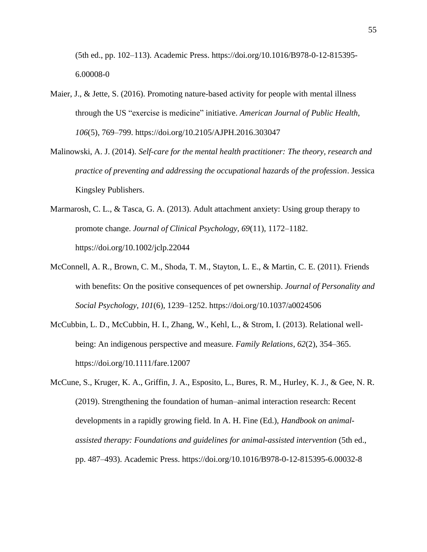(5th ed., pp. 102–113). Academic Press. [https://doi.org/10.1016/B978-0-12-815395-](https://doi.org/10.1016/B978-0-12-815395-6.00008-0) [6.00008-0](https://doi.org/10.1016/B978-0-12-815395-6.00008-0)

- Maier, J., & Jette, S. (2016). Promoting nature-based activity for people with mental illness through the US "exercise is medicine" initiative. *American Journal of Public Health*, *106*(5), 769–799. <https://doi.org/10.2105/AJPH.2016.303047>
- Malinowski, A. J. (2014). *Self-care for the mental health practitioner: The theory, research and practice of preventing and addressing the occupational hazards of the profession*. Jessica Kingsley Publishers.
- Marmarosh, C. L., & Tasca, G. A. (2013). Adult attachment anxiety: Using group therapy to promote change. *Journal of Clinical Psychology*, *69*(11), 1172–1182. <https://doi.org/10.1002/jclp.22044>
- McConnell, A. R., Brown, C. M., Shoda, T. M., Stayton, L. E., & Martin, C. E. (2011). Friends with benefits: On the positive consequences of pet ownership. *Journal of Personality and Social Psychology*, *101*(6), 1239–1252. <https://doi.org/10.1037/a0024506>
- McCubbin, L. D., McCubbin, H. I., Zhang, W., Kehl, L., & Strom, I. (2013). Relational wellbeing: An indigenous perspective and measure. *Family Relations*, *62*(2), 354–365. <https://doi.org/10.1111/fare.12007>
- McCune, S., Kruger, K. A., Griffin, J. A., Esposito, L., Bures, R. M., Hurley, K. J., & Gee, N. R. (2019). Strengthening the foundation of human–animal interaction research: Recent developments in a rapidly growing field. In A. H. Fine (Ed.), *Handbook on animalassisted therapy: Foundations and guidelines for animal-assisted intervention* (5th ed., pp. 487–493). Academic Press. <https://doi.org/10.1016/B978-0-12-815395-6.00032-8>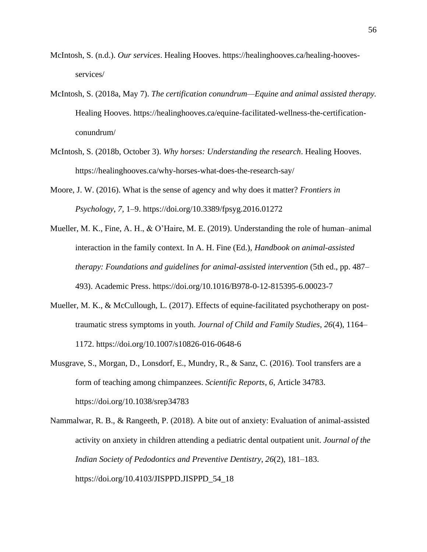- McIntosh, S. (n.d.). *Our services*. Healing Hooves. [https://healinghooves.ca/healing-hooves](https://healinghooves.ca/healing-hooves-services/)[services/](https://healinghooves.ca/healing-hooves-services/)
- McIntosh, S. (2018a, May 7). *The certification conundrum—Equine and animal assisted therapy.* Healing Hooves. [https://healinghooves.ca/equine-facilitated-wellness-the-certification](https://healinghooves.ca/equine-facilitated-wellness-the-certification-conundrum/)[conundrum/](https://healinghooves.ca/equine-facilitated-wellness-the-certification-conundrum/)
- McIntosh, S. (2018b, October 3). *Why horses: Understanding the research*. Healing Hooves. <https://healinghooves.ca/why-horses-what-does-the-research-say/>
- Moore, J. W. (2016). What is the sense of agency and why does it matter? *Frontiers in Psychology*, *7*, 1–9. <https://doi.org/10.3389/fpsyg.2016.01272>
- Mueller, M. K., Fine, A. H., & O'Haire, M. E. (2019). Understanding the role of human–animal interaction in the family context. In A. H. Fine (Ed.), *Handbook on animal-assisted therapy: Foundations and guidelines for animal-assisted intervention* (5th ed., pp. 487– 493). Academic Press.<https://doi.org/10.1016/B978-0-12-815395-6.00023-7>
- Mueller, M. K., & McCullough, L. (2017). Effects of equine-facilitated psychotherapy on posttraumatic stress symptoms in youth. *Journal of Child and Family Studies*, *26*(4), 1164– 1172. <https://doi.org/10.1007/s10826-016-0648-6>
- Musgrave, S., Morgan, D., Lonsdorf, E., Mundry, R., & Sanz, C. (2016). Tool transfers are a form of teaching among chimpanzees. *Scientific Reports*, *6*, Article 34783. <https://doi.org/10.1038/srep34783>
- Nammalwar, R. B., & Rangeeth, P. (2018). A bite out of anxiety: Evaluation of animal-assisted activity on anxiety in children attending a pediatric dental outpatient unit. *Journal of the Indian Society of Pedodontics and Preventive Dentistry*, *26*(2), 181–183. [https://doi.org/10.4103/JISPPD.JISPPD\\_54\\_18](https://doi.org/10.4103/JISPPD.JISPPD_54_18)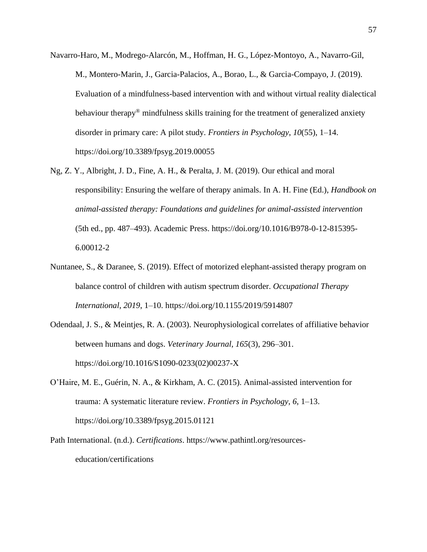- Navarro-Haro, M., Modrego-Alarcón, M., Hoffman, H. G., López-Montoyo, A., Navarro-Gil, M., Montero-Marin, J., Garcia-Palacios, A., Borao, L., & Garcia-Compayo, J. (2019). Evaluation of a mindfulness-based intervention with and without virtual reality dialectical behaviour therapy<sup>®</sup> mindfulness skills training for the treatment of generalized anxiety disorder in primary care: A pilot study. *Frontiers in Psychology*, *10*(55), 1–14. <https://doi.org/10.3389/fpsyg.2019.00055>
- Ng, Z. Y., Albright, J. D., Fine, A. H., & Peralta, J. M. (2019). Our ethical and moral responsibility: Ensuring the welfare of therapy animals. In A. H. Fine (Ed.), *Handbook on animal-assisted therapy: Foundations and guidelines for animal-assisted intervention*  (5th ed., pp. 487–493). Academic Press. [https://doi.org/10.1016/B978-0-12-815395-](https://doi.org/10.1016/B978-0-12-815395-6.00012-2) [6.00012-2](https://doi.org/10.1016/B978-0-12-815395-6.00012-2)
- Nuntanee, S., & Daranee, S. (2019). Effect of motorized elephant-assisted therapy program on balance control of children with autism spectrum disorder. *Occupational Therapy International*, *2019*, 1–10. <https://doi.org/10.1155/2019/5914807>
- Odendaal, J. S., & Meintjes, R. A. (2003). Neurophysiological correlates of affiliative behavior between humans and dogs. *Veterinary Journal*, *165*(3), 296–301. [https://doi.org/10.1016/S1090-0233\(02\)00237-X](https://doi.org/10.1016/S1090-0233(02)00237-X)
- O'Haire, M. E., Guérin, N. A., & Kirkham, A. C. (2015). Animal-assisted intervention for trauma: A systematic literature review. *Frontiers in Psychology*, *6*, 1–13. <https://doi.org/10.3389/fpsyg.2015.01121>
- Path International. (n.d.). *Certifications*. [https://www.pathintl.org/resources](https://www.pathintl.org/resources-education/certifications)[education/certifications](https://www.pathintl.org/resources-education/certifications)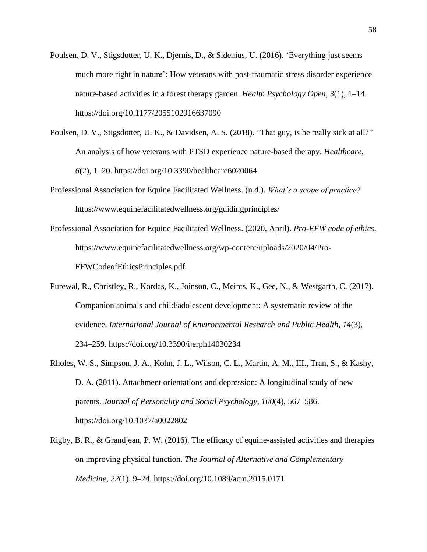- Poulsen, D. V., Stigsdotter, U. K., Djernis, D., & Sidenius, U. (2016). 'Everything just seems much more right in nature': How veterans with post-traumatic stress disorder experience nature-based activities in a forest therapy garden. *Health Psychology Open*, *3*(1), 1–14. <https://doi.org/10.1177/2055102916637090>
- Poulsen, D. V., Stigsdotter, U. K., & Davidsen, A. S. (2018). "That guy, is he really sick at all?" An analysis of how veterans with PTSD experience nature-based therapy. *Healthcare*, *6*(2), 1–20. <https://doi.org/10.3390/healthcare6020064>
- Professional Association for Equine Facilitated Wellness. (n.d.). *What's a scope of practice?* <https://www.equinefacilitatedwellness.org/guidingprinciples/>
- Professional Association for Equine Facilitated Wellness. (2020, April). *Pro-EFW code of ethics*. [https://www.equinefacilitatedwellness.org/wp-content/uploads/2020/04/Pro-](https://www.equinefacilitatedwellness.org/wp-content/uploads/2020/04/Pro-EFWCodeofEthicsPrinciples.pdf)[EFWCodeofEthicsPrinciples.pdf](https://www.equinefacilitatedwellness.org/wp-content/uploads/2020/04/Pro-EFWCodeofEthicsPrinciples.pdf)
- Purewal, R., Christley, R., Kordas, K., Joinson, C., Meints, K., Gee, N., & Westgarth, C. (2017). Companion animals and child/adolescent development: A systematic review of the evidence. *International Journal of Environmental Research and Public Health*, *14*(3), 234–259. <https://doi.org/10.3390/ijerph14030234>
- Rholes, W. S., Simpson, J. A., Kohn, J. L., Wilson, C. L., Martin, A. M., III., Tran, S., & Kashy, D. A. (2011). Attachment orientations and depression: A longitudinal study of new parents. *Journal of Personality and Social Psychology*, *100*(4), 567–586. <https://doi.org/10.1037/a0022802>
- Rigby, B. R., & Grandjean, P. W. (2016). The efficacy of equine-assisted activities and therapies on improving physical function. *The Journal of Alternative and Complementary Medicine*, *22*(1), 9–24. <https://doi.org/10.1089/acm.2015.0171>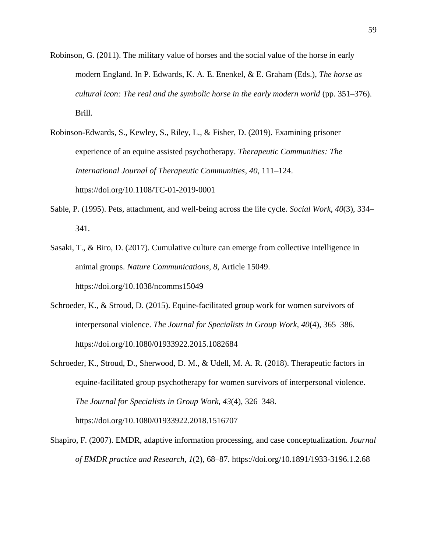- Robinson, G. (2011). The military value of horses and the social value of the horse in early modern England. In P. Edwards, K. A. E. Enenkel, & E. Graham (Eds.), *The horse as cultural icon: The real and the symbolic horse in the early modern world* (pp. 351–376). Brill.
- Robinson-Edwards, S., Kewley, S., Riley, L., & Fisher, D. (2019). Examining prisoner experience of an equine assisted psychotherapy. *Therapeutic Communities: The International Journal of Therapeutic Communities*, *40*, 111–124. <https://doi.org/10.1108/TC-01-2019-0001>
- Sable, P. (1995). Pets, attachment, and well-being across the life cycle. *Social Work*, *40*(3), 334– 341.
- Sasaki, T., & Biro, D. (2017). Cumulative culture can emerge from collective intelligence in animal groups. *Nature Communications*, *8*, Article 15049. <https://doi.org/10.1038/ncomms15049>
- Schroeder, K., & Stroud, D. (2015). Equine-facilitated group work for women survivors of interpersonal violence. *The Journal for Specialists in Group Work, 40*(4), 365–386. <https://doi.org/10.1080/01933922.2015.1082684>
- Schroeder, K., Stroud, D., Sherwood, D. M., & Udell, M. A. R. (2018). Therapeutic factors in equine-facilitated group psychotherapy for women survivors of interpersonal violence. *The Journal for Specialists in Group Work*, *43*(4), 326–348. <https://doi.org/10.1080/01933922.2018.1516707>
- Shapiro, F. (2007). EMDR, adaptive information processing, and case conceptualization. *Journal of EMDR practice and Research*, *1*(2), 68–87. <https://doi.org/10.1891/1933-3196.1.2.68>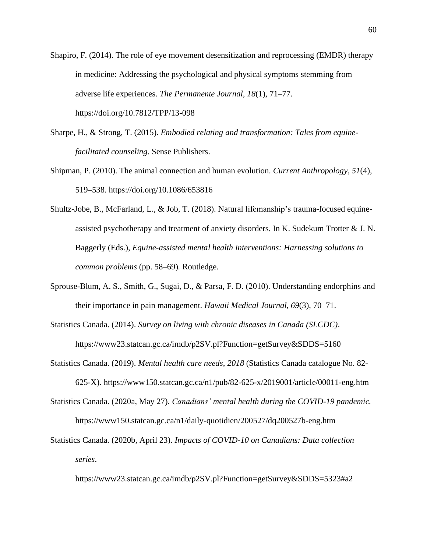- Shapiro, F. (2014). The role of eye movement desensitization and reprocessing (EMDR) therapy in medicine: Addressing the psychological and physical symptoms stemming from adverse life experiences. *The Permanente Journal*, *18*(1), 71–7[7.](https://doi.org/10.7812/TPP/13-098) <https://doi.org/10.7812/TPP/13-098>
- Sharpe, H., & Strong, T. (2015). *Embodied relating and transformation: Tales from equinefacilitated counseling*. Sense Publishers.
- Shipman, P. (2010). The animal connection and human evolution. *Current Anthropology*, *51*(4), 519–538. <https://doi.org/10.1086/653816>
- Shultz-Jobe, B., McFarland, L., & Job, T. (2018). Natural lifemanship's trauma-focused equineassisted psychotherapy and treatment of anxiety disorders. In K. Sudekum Trotter & J. N. Baggerly (Eds.), *Equine-assisted mental health interventions: Harnessing solutions to common problems* (pp. 58–69)*.* Routledge*.*
- Sprouse-Blum, A. S., Smith, G., Sugai, D., & Parsa, F. D. (2010). Understanding endorphins and their importance in pain management. *Hawaii Medical Journal*, *69*(3), 70–71.
- Statistics Canada. (2014). *Survey on living with chronic diseases in Canada (SLCDC)*. <https://www23.statcan.gc.ca/imdb/p2SV.pl?Function=getSurvey&SDDS=5160>
- Statistics Canada. (2019). *Mental health care needs, 2018* (Statistics Canada catalogue No. 82- 625-X). <https://www150.statcan.gc.ca/n1/pub/82-625-x/2019001/article/00011-eng.htm>
- Statistics Canada. (2020a, May 27). *Canadians' mental health during the COVID-19 pandemic.* <https://www150.statcan.gc.ca/n1/daily-quotidien/200527/dq200527b-eng.htm>
- Statistics Canada. (2020b, April 23). *Impacts of COVID-10 on Canadians: Data collection series*.

<https://www23.statcan.gc.ca/imdb/p2SV.pl?Function=getSurvey&SDDS=5323#a2>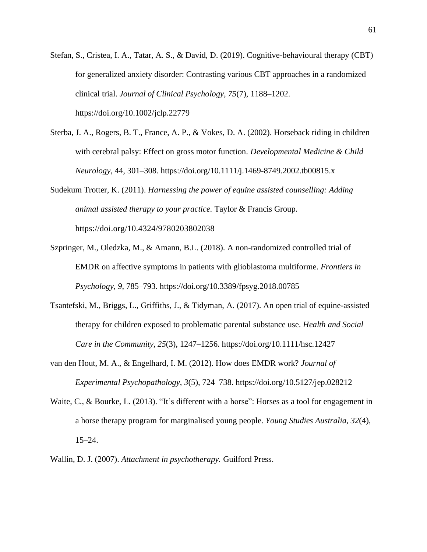- Stefan, S., Cristea, I. A., Tatar, A. S., & David, D. (2019). Cognitive-behavioural therapy (CBT) for generalized anxiety disorder: Contrasting various CBT approaches in a randomized clinical trial. *Journal of Clinical Psychology*, *75*(7), 1188–1202. <https://doi.org/10.1002/jclp.22779>
- Sterba, J. A., Rogers, B. T., France, A. P., & Vokes, D. A. (2002). Horseback riding in children with cerebral palsy: Effect on gross motor function. *Developmental Medicine & Child Neurology*, 44, 301–308. <https://doi.org/10.1111/j.1469-8749.2002.tb00815.x>

Sudekum Trotter, K. (2011). *Harnessing the power of equine assisted counselling: Adding animal assisted therapy to your practice.* Taylor & Francis Group. <https://doi.org/10.4324/9780203802038>

- Szpringer, M., Oledzka, M., & Amann, B.L. (2018). A non-randomized controlled trial of EMDR on affective symptoms in patients with glioblastoma multiforme. *Frontiers in Psychology*, *9*, 785–793. <https://doi.org/10.3389/fpsyg.2018.00785>
- Tsantefski, M., Briggs, L., Griffiths, J., & Tidyman, A. (2017). An open trial of equine-assisted therapy for children exposed to problematic parental substance use. *Health and Social Care in the Community*, *25*(3), 1247–1256. <https://doi.org/10.1111/hsc.12427>
- van den Hout, M. A., & Engelhard, I. M. (2012). How does EMDR work? *Journal of Experimental Psychopathology*, *3*(5), 724–738. [https://doi.org/10.5127/jep.028212](https://doi.org/10.5127%2Fjep.028212)
- Waite, C., & Bourke, L. (2013). "It's different with a horse": Horses as a tool for engagement in a horse therapy program for marginalised young people. *Young Studies Australia*, *32*(4), 15–24.
- Wallin, D. J. (2007). *Attachment in psychotherapy.* Guilford Press.